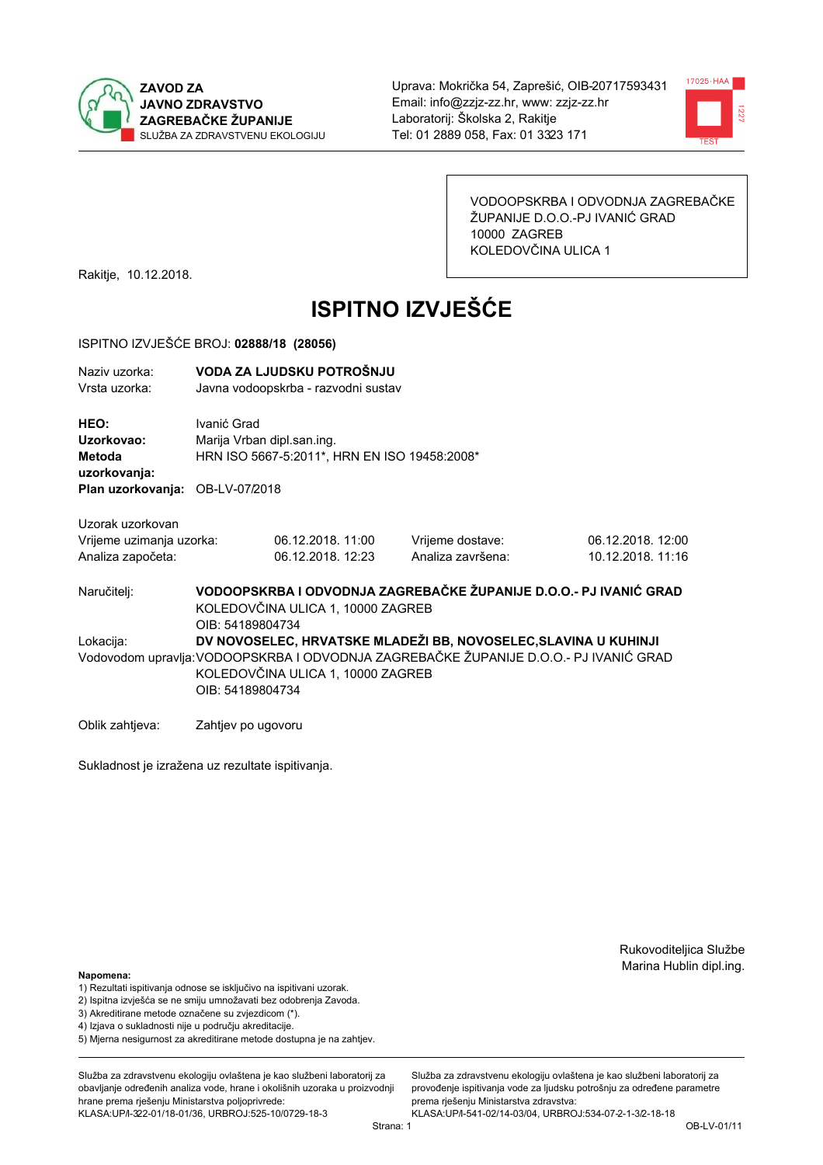



VODOOPSKRBA I ODVODNJA ZAGREBAČKE ŽUPANIJE D.O.O.-PJ IVANIĆ GRAD 10000 ZAGREB KOLEDOVČINA ULICA 1

Rakitje, 10.12.2018.

# **ISPITNO IZVJEŠĆE**

#### ISPITNO IZVJEŠĆE BROJ: 02888/18 (28056)

| Naziv uzorka:<br>Vrsta uzorka:                                    |                                           | VODA ZA LJUDSKU POTROŠNJU<br>Javna vodoopskrba - razvodni sustav |                                                                   |                                        |
|-------------------------------------------------------------------|-------------------------------------------|------------------------------------------------------------------|-------------------------------------------------------------------|----------------------------------------|
| <b>HEO:</b><br>Uzorkovao:<br>Metoda<br>uzorkovanja:               | Ivanić Grad<br>Marija Vrban dipl.san.ing. | HRN ISO 5667-5:2011*, HRN EN ISO 19458:2008*                     |                                                                   |                                        |
| Plan uzorkovanja: OB-LV-07/2018                                   |                                           |                                                                  |                                                                   |                                        |
| Uzorak uzorkovan<br>Vrijeme uzimanja uzorka:<br>Analiza započeta: |                                           | 06.12.2018. 11:00<br>06.12.2018. 12:23                           | Vrijeme dostave:<br>Analiza završena:                             | 06.12.2018. 12:00<br>10.12.2018. 11:16 |
| Naručitelj:                                                       | OIB: 54189804734                          | KOLEDOVČINA ULICA 1, 10000 ZAGREB                                | VODOOPSKRBA I ODVODNJA ZAGREBAČKE ŽUPANIJE D.O.O.- PJ IVANIĆ GRAD |                                        |

Lokacija: DV NOVOSELEC, HRVATSKE MLADEŽI BB, NOVOSELEC, SLAVINA U KUHINJI Vodovodom upravlja: VODOOPSKRBA I ODVODNJA ZAGREBAČKE ŽUPANIJE D.O.O.- PJ IVANIĆ GRAD KOLEDOVČINA ULICA 1, 10000 ZAGREB OIB: 54189804734

Oblik zahtjeva: Zahtjev po ugovoru

Sukladnost je izražena uz rezultate ispitivanja.

Rukovoditeljica Službe Marina Hublin dipl.ing.

#### Napomena:

- 1) Rezultati ispitivanja odnose se isključivo na ispitivani uzorak.
- 2) Ispitna izvješća se ne smiju umnožavati bez odobrenja Zavoda.
- 3) Akreditirane metode označene su zvjezdicom (\*).
- 4) Iziava o sukladnosti nije u području akreditacije.
- 5) Mjerna nesigurnost za akreditirane metode dostupna je na zahtjev.

Služba za zdravstvenu ekologiju ovlaštena je kao službeni laboratorij za obavlianie određenih analiza vode, hrane i okolišnih uzoraka u proizvodniji hrane prema rješenju Ministarstva poljoprivrede: KLASA: UP/l-322-01/18-01/36, URBROJ: 525-10/0729-18-3

Služba za zdravstvenu ekologiju ovlaštena je kao službeni laboratorij za provođenie ispitivania vode za liudsku potrošniu za određene parametre prema riešenju Ministarstva zdravstva:

KLASA: UP/l-541-02/14-03/04, URBROJ: 534-07-2-1-3/2-18-18 Strana: 1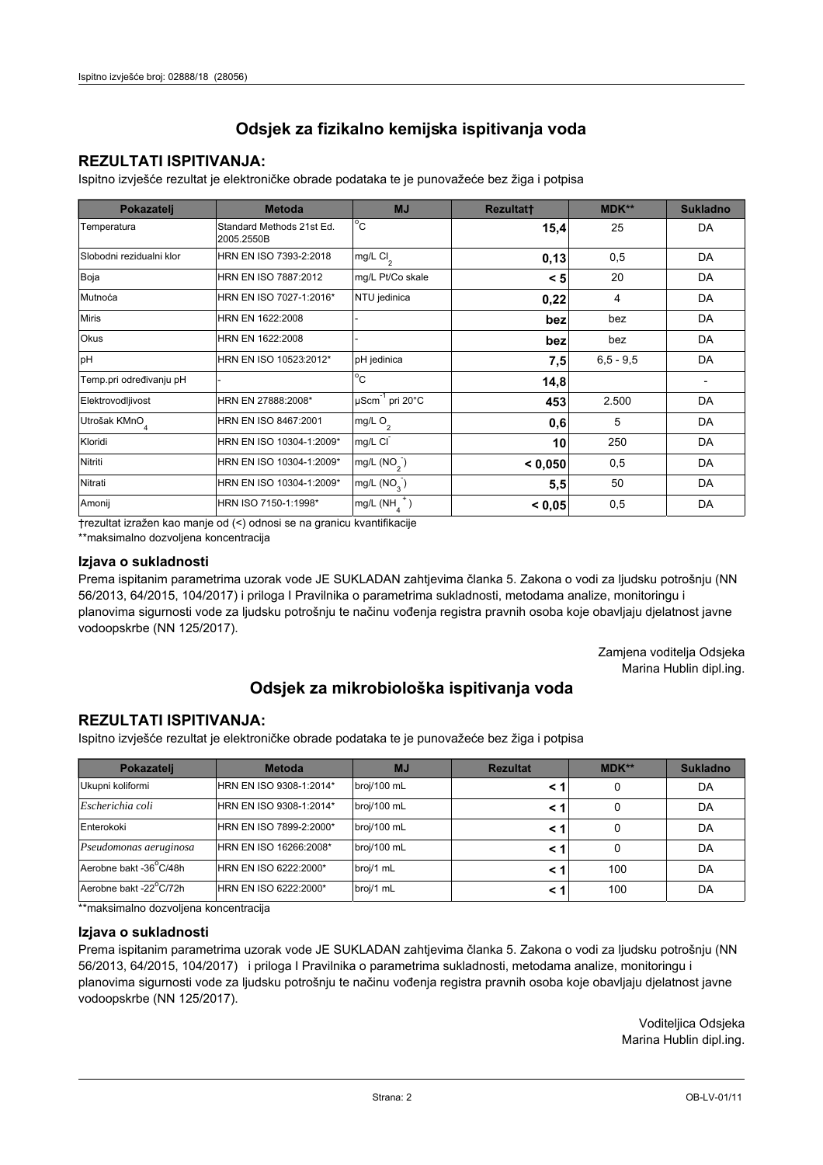## **REZULTATI ISPITIVANJA:**

Ispitno izviešće rezultat je elektroničke obrade podataka te je punovažeće bez žiga i potpisa

| Pokazatelj                | <b>Metoda</b>                           | <b>MJ</b>                   | <b>Rezultatt</b> | <b>MDK**</b>  | <b>Sukladno</b> |
|---------------------------|-----------------------------------------|-----------------------------|------------------|---------------|-----------------|
| Temperatura               | Standard Methods 21st Ed.<br>2005.2550B | $^{\circ}$ C                | 15,4             | 25            | DA              |
| Slobodni rezidualni klor  | HRN EN ISO 7393-2:2018                  | mg/L $Cl2$                  | 0,13             | 0,5           | DA              |
| Boja                      | HRN EN ISO 7887:2012                    | mg/L Pt/Co skale            | < 5              | 20            | DA              |
| Mutnoća                   | HRN EN ISO 7027-1:2016*                 | NTU jedinica                | 0,22             | 4             | DA              |
| <b>Miris</b>              | HRN EN 1622:2008                        |                             | bez              | bez           | DA              |
| <b>Okus</b>               | HRN EN 1622:2008                        |                             | bez              | bez           | DA              |
| pH                        | HRN EN ISO 10523:2012*                  | pH jedinica                 | 7,5              | $6, 5 - 9, 5$ | DA              |
| Temp.pri određivanju pH   |                                         | $^{\circ}$ C                | 14,8             |               |                 |
| Elektrovodljivost         | HRN EN 27888:2008*                      | µScm <sup>-1</sup> pri 20°C | 453              | 2.500         | DA              |
| Utrošak KMnO <sub>4</sub> | HRN EN ISO 8467:2001                    | mg/L $O_2$                  | 0,6              | 5             | DA              |
| Kloridi                   | HRN EN ISO 10304-1:2009*                | mg/L CI                     | 10               | 250           | DA              |
| Nitriti                   | HRN EN ISO 10304-1:2009*                | mg/L $(NO2)$                | < 0,050          | 0,5           | DA              |
| Nitrati                   | HRN EN ISO 10304-1:2009*                | mg/L (NO <sub>3</sub> )     | 5,5              | 50            | DA              |
| Amonij                    | HRN ISO 7150-1:1998*                    | mg/L (NH                    | < 0,05           | 0,5           | DA              |

trezultat izražen kao manje od (<) odnosi se na granicu kvantifikacije

\*\*maksimalno dozvoljena koncentracija

## Izjava o sukladnosti

Prema ispitanim parametrima uzorak vode JE SUKLADAN zahtievima članka 5. Zakona o vodi za ljudsku potrošnju (NN 56/2013, 64/2015, 104/2017) i priloga I Pravilnika o parametrima sukladnosti, metodama analize, monitoringu i planovima sigurnosti vode za ljudsku potrošnju te načinu vođenja registra pravnih osoba koje obavljaju djelatnost javne vodoopskrbe (NN 125/2017).

> Zamjena voditelja Odsjeka Marina Hublin dipl.ing.

## Odsjek za mikrobiološka ispitivanja voda

## **REZULTATI ISPITIVANJA:**

Ispitno izvješće rezultat je elektroničke obrade podataka te je punovažeće bez žiga i potpisa

| Pokazatelj             | <b>Metoda</b>           | <b>MJ</b>   | <b>Rezultat</b> | $MDK**$ | <b>Sukladno</b> |
|------------------------|-------------------------|-------------|-----------------|---------|-----------------|
| Ukupni koliformi       | HRN EN ISO 9308-1:2014* | broj/100 mL |                 | 0       | DA              |
| Escherichia coli       | HRN EN ISO 9308-1:2014* | broj/100 mL |                 | 0       | DA              |
| Enterokoki             | HRN EN ISO 7899-2:2000* | broj/100 mL |                 | 0       | DA              |
| Pseudomonas aeruginosa | HRN EN ISO 16266:2008*  | broj/100 mL | < 1             | 0       | DA              |
| Aerobne bakt -36 C/48h | HRN EN ISO 6222:2000*   | broj/1 mL   |                 | 100     | DA              |
| Aerobne bakt -22°C/72h | HRN EN ISO 6222:2000*   | broj/1 mL   |                 | 100     | DA              |

\*\* maksimalno dozvoljena koncentracija

### Izjava o sukladnosti

Prema ispitanim parametrima uzorak vode JE SUKLADAN zahtjevima članka 5. Zakona o vodi za ljudsku potrošnju (NN 56/2013, 64/2015, 104/2017) i priloga I Pravilnika o parametrima sukladnosti, metodama analize, monitoringu i planovima sigurnosti vode za ljudsku potrošnju te načinu vođenja registra pravnih osoba koje obavljaju djelatnost javne vodoopskrbe (NN 125/2017).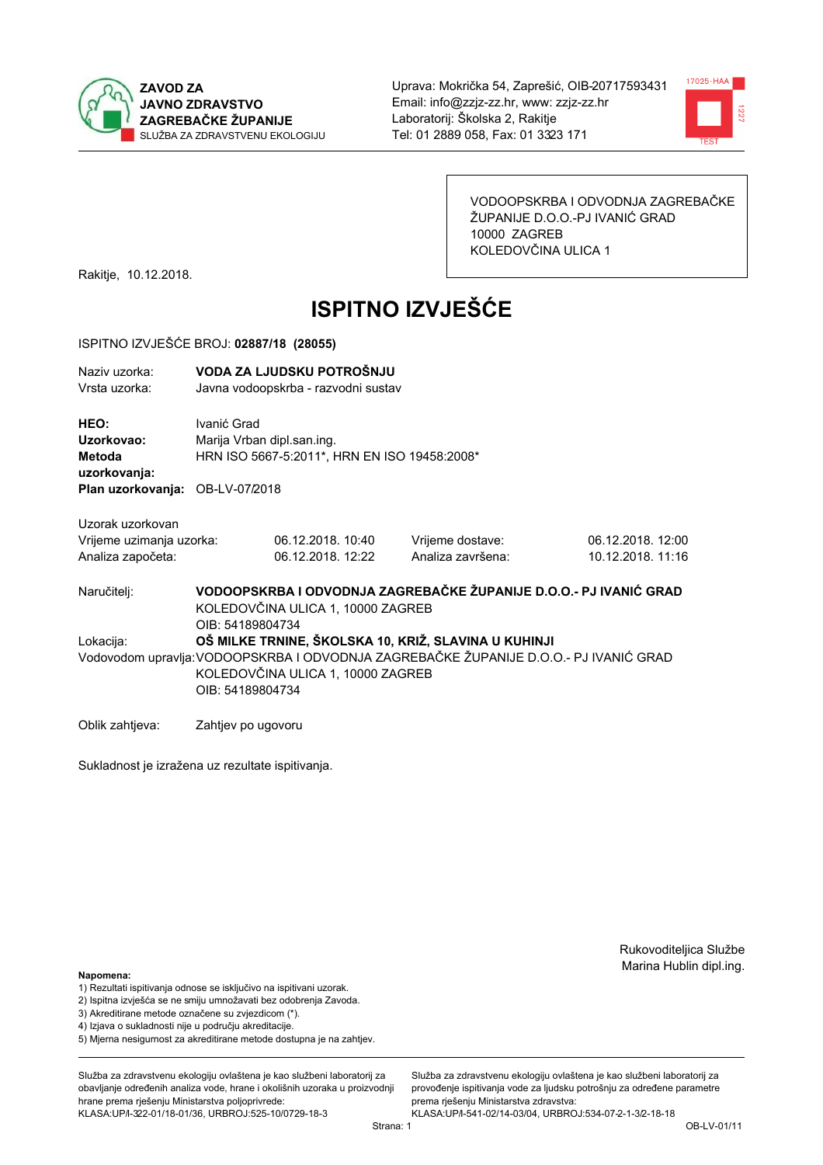



VODOOPSKRBA I ODVODNJA ZAGREBAČKE ŽUPANIJE D.O.O.-PJ IVANIĆ GRAD 10000 ZAGREB KOLEDOVČINA ULICA 1

Rakitje, 10.12.2018.

# **ISPITNO IZVJEŠĆE**

#### ISPITNO IZVJEŠĆE BROJ: 02887/18 (28055)

| Naziv uzorka:<br>Vrsta uzorka:                      |                                                                                                                            | VODA ZA LJUDSKU POTROŠNJU<br>Javna vodoopskrba - razvodni sustav |                                                                                      |                   |  |
|-----------------------------------------------------|----------------------------------------------------------------------------------------------------------------------------|------------------------------------------------------------------|--------------------------------------------------------------------------------------|-------------------|--|
| <b>HEO:</b><br>Uzorkovao:<br>Metoda<br>uzorkovanja: | Ivanić Grad<br>Marija Vrban dipl.san.ing.                                                                                  | HRN ISO 5667-5:2011*, HRN EN ISO 19458:2008*                     |                                                                                      |                   |  |
| Plan uzorkovanja: OB-LV-07/2018                     |                                                                                                                            |                                                                  |                                                                                      |                   |  |
| Uzorak uzorkovan                                    |                                                                                                                            |                                                                  |                                                                                      |                   |  |
| Vrijeme uzimanja uzorka:                            |                                                                                                                            | 06.12.2018. 10:40                                                | Vrijeme dostave:                                                                     | 06.12.2018. 12:00 |  |
| Analiza započeta:                                   |                                                                                                                            | 06.12.2018. 12:22                                                | Analiza završena:                                                                    | 10.12.2018. 11:16 |  |
| Naručitelj:                                         | VODOOPSKRBA I ODVODNJA ZAGREBAČKE ŽUPANIJE D.O.O.- PJ IVANIĆ GRAD<br>KOLEDOVČINA ULICA 1, 10000 ZAGREB<br>OIB: 54189804734 |                                                                  |                                                                                      |                   |  |
| Lokacija:                                           |                                                                                                                            |                                                                  | OŠ MILKE TRNINE, ŠKOLSKA 10, KRIŽ, SLAVINA U KUHINJI                                 |                   |  |
|                                                     | OIB: 54189804734                                                                                                           | KOLEDOVČINA ULICA 1, 10000 ZAGREB                                | Vodovodom upravlja:VODOOPSKRBA I ODVODNJA ZAGREBAČKE ŽUPANIJE D.O.O.- PJ IVANIĆ GRAD |                   |  |

Oblik zahtjeva: Zahtjev po ugovoru

Sukladnost je izražena uz rezultate ispitivanja.

Rukovoditeljica Službe Marina Hublin dipl.ing.

#### Napomena:

- 1) Rezultati ispitivanja odnose se isključivo na ispitivani uzorak.
- 2) Ispitna izvješća se ne smiju umnožavati bez odobrenja Zavoda.
- 3) Akreditirane metode označene su zvjezdicom (\*).
- 4) Iziava o sukladnosti nije u području akreditacije.
- 5) Mjerna nesigurnost za akreditirane metode dostupna je na zahtjev.

Služba za zdravstvenu ekologiju ovlaštena je kao službeni laboratorij za obavlianie određenih analiza vode, hrane i okolišnih uzoraka u proizvodniji hrane prema rješenju Ministarstva poljoprivrede: KLASA: UP/l-322-01/18-01/36, URBROJ: 525-10/0729-18-3

KLASA: UP/l-541-02/14-03/04, URBROJ: 534-07-2-1-3/2-18-18 Strana: 1

prema rješenju Ministarstva zdravstva:

Služba za zdravstvenu ekologiju ovlaštena je kao službeni laboratorij za

provođenie ispitivania vode za liudsku potrošniu za određene parametre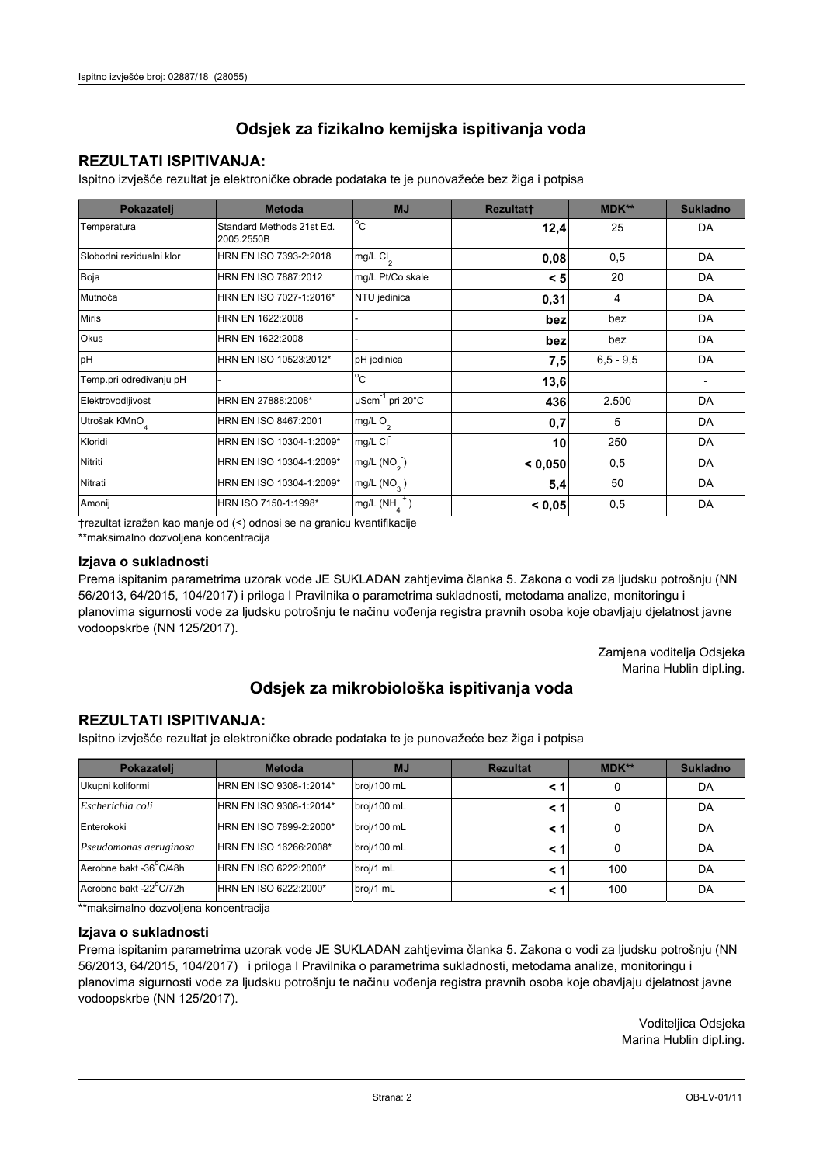## **REZULTATI ISPITIVANJA:**

Ispitno izviešće rezultat je elektroničke obrade podataka te je punovažeće bez žiga i potpisa

| Pokazatelj                | <b>Metoda</b>                           | <b>MJ</b>               | <b>Rezultatt</b> | <b>MDK**</b>  | <b>Sukladno</b> |
|---------------------------|-----------------------------------------|-------------------------|------------------|---------------|-----------------|
| Temperatura               | Standard Methods 21st Ed.<br>2005.2550B | $^{\circ}$ C            | 12,4             | 25            | DA              |
| Slobodni rezidualni klor  | HRN EN ISO 7393-2:2018                  | mg/L $Cl2$              | 0,08             | 0,5           | DA              |
| Boja                      | HRN EN ISO 7887:2012                    | mg/L Pt/Co skale        | < 5              | 20            | DA              |
| Mutnoća                   | HRN EN ISO 7027-1:2016*                 | NTU jedinica            | 0,31             | 4             | DA              |
| <b>Miris</b>              | HRN EN 1622:2008                        |                         | bez              | bez           | DA              |
| Okus                      | HRN EN 1622:2008                        |                         | bez              | bez           | DA              |
| pH                        | HRN EN ISO 10523:2012*                  | pH jedinica             | 7,5              | $6, 5 - 9, 5$ | DA              |
| Temp.pri određivanju pH   |                                         | $^{\circ}$ C            | 13,6             |               |                 |
| Elektrovodljivost         | HRN EN 27888:2008*                      | µScm-1 pri 20°C         | 436              | 2.500         | DA              |
| Utrošak KMnO <sub>4</sub> | HRN EN ISO 8467:2001                    | mg/L $O2$               | 0,7              | 5             | DA              |
| Kloridi                   | HRN EN ISO 10304-1:2009*                | mg/L CI                 | 10               | 250           | DA              |
| Nitriti                   | HRN EN ISO 10304-1:2009*                | mg/L $(NO2)$            | < 0.050          | 0,5           | DA              |
| Nitrati                   | HRN EN ISO 10304-1:2009*                | mg/L (NO <sub>3</sub> ) | 5,4              | 50            | DA              |
| Amonij                    | HRN ISO 7150-1:1998*                    | mg/L (NH                | < 0,05           | 0,5           | DA              |

trezultat izražen kao manje od (<) odnosi se na granicu kvantifikacije

\*\*maksimalno dozvoljena koncentracija

## Izjava o sukladnosti

Prema ispitanim parametrima uzorak vode JE SUKLADAN zahtievima članka 5. Zakona o vodi za ljudsku potrošnju (NN 56/2013, 64/2015, 104/2017) i priloga I Pravilnika o parametrima sukladnosti, metodama analize, monitoringu i planovima sigurnosti vode za ljudsku potrošnju te načinu vođenja registra pravnih osoba koje obavljaju djelatnost javne vodoopskrbe (NN 125/2017).

> Zamjena voditelja Odsjeka Marina Hublin dipl.ing.

## Odsjek za mikrobiološka ispitivanja voda

## **REZULTATI ISPITIVANJA:**

Ispitno izvješće rezultat je elektroničke obrade podataka te je punovažeće bez žiga i potpisa

| Pokazatelj             | <b>Metoda</b>           | <b>MJ</b>   | <b>Rezultat</b> | $MDK**$ | <b>Sukladno</b> |
|------------------------|-------------------------|-------------|-----------------|---------|-----------------|
| Ukupni koliformi       | HRN EN ISO 9308-1:2014* | broj/100 mL |                 | 0       | DA              |
| Escherichia coli       | HRN EN ISO 9308-1:2014* | broj/100 mL |                 | 0       | DA              |
| Enterokoki             | HRN EN ISO 7899-2:2000* | broj/100 mL |                 | 0       | DA              |
| Pseudomonas aeruginosa | HRN EN ISO 16266:2008*  | broj/100 mL | < 1             | 0       | DA              |
| Aerobne bakt -36 C/48h | HRN EN ISO 6222:2000*   | broj/1 mL   |                 | 100     | DA              |
| Aerobne bakt -22°C/72h | HRN EN ISO 6222:2000*   | broj/1 mL   |                 | 100     | DA              |

\*\* maksimalno dozvoljena koncentracija

### Izjava o sukladnosti

Prema ispitanim parametrima uzorak vode JE SUKLADAN zahtjevima članka 5. Zakona o vodi za ljudsku potrošnju (NN 56/2013, 64/2015, 104/2017) i priloga I Pravilnika o parametrima sukladnosti, metodama analize, monitoringu i planovima sigurnosti vode za ljudsku potrošnju te načinu vođenja registra pravnih osoba koje obavljaju djelatnost javne vodoopskrbe (NN 125/2017).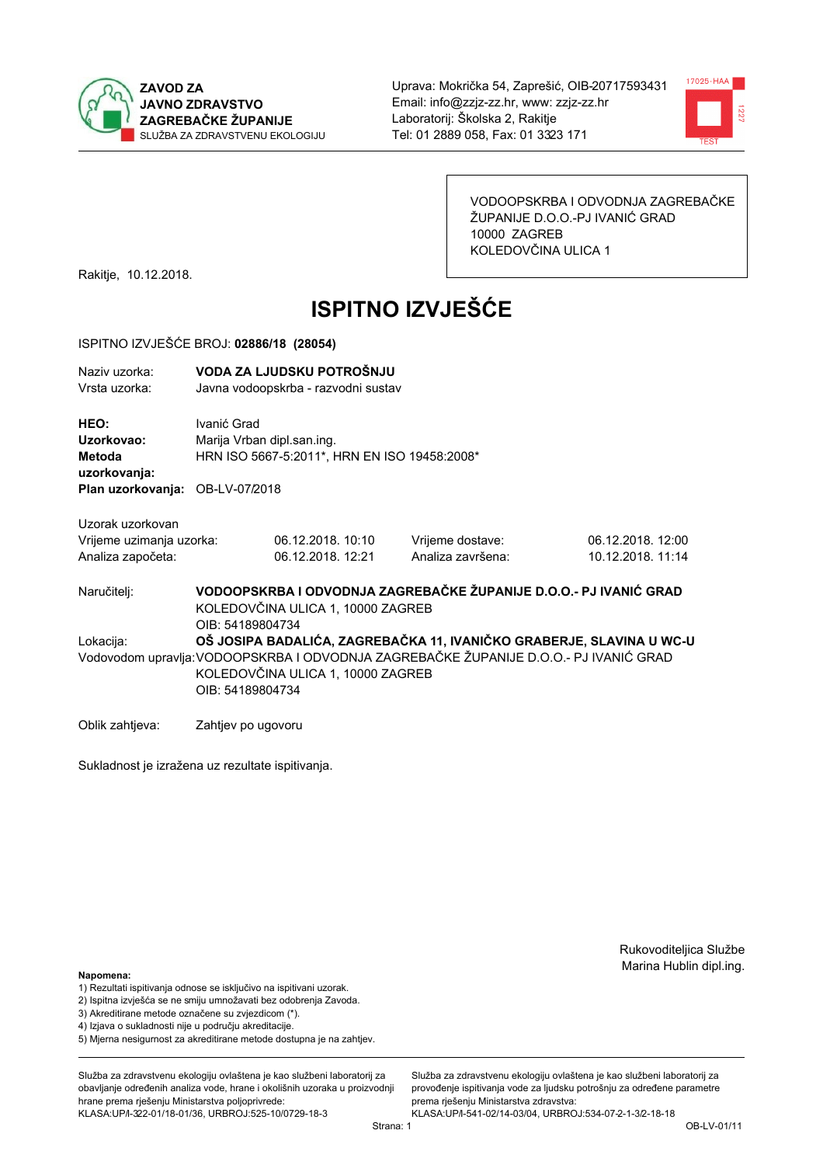



VODOOPSKRBA I ODVODNJA ZAGREBAČKE ŽUPANIJE D.O.O.-PJ IVANIĆ GRAD 10000 ZAGREB KOLEDOVČINA ULICA 1

Rakitje, 10.12.2018.

# **ISPITNO IZVJEŠĆE**

## ISPITNO IZVJEŠĆE BROJ: 02886/18 (28054)

| Naziv uzorka:<br>Vrsta uzorka:                                    | VODA ZA LJUDSKU POTROŠNJU<br>Javna vodoopskrba - razvodni sustav                                                           |                                                                            |                                                                                       |                                                                      |  |  |
|-------------------------------------------------------------------|----------------------------------------------------------------------------------------------------------------------------|----------------------------------------------------------------------------|---------------------------------------------------------------------------------------|----------------------------------------------------------------------|--|--|
| HEO:<br>Uzorkovao:<br>Metoda<br>uzorkovanja:                      | Ivanić Grad                                                                                                                | Marija Vrban dipl.san.ing.<br>HRN ISO 5667-5:2011*, HRN EN ISO 19458:2008* |                                                                                       |                                                                      |  |  |
| Plan uzorkovanja: OB-LV-07/2018                                   |                                                                                                                            |                                                                            |                                                                                       |                                                                      |  |  |
| Uzorak uzorkovan<br>Vrijeme uzimanja uzorka:<br>Analiza započeta: |                                                                                                                            | 06.12.2018. 10:10<br>06.12.2018. 12:21                                     | Vrijeme dostave:<br>Analiza završena:                                                 | 06.12.2018. 12:00<br>10.12.2018. 11:14                               |  |  |
| Naručitelj:                                                       | VODOOPSKRBA I ODVODNJA ZAGREBAČKE ŽUPANIJE D.O.O.- PJ IVANIĆ GRAD<br>KOLEDOVČINA ULICA 1, 10000 ZAGREB<br>OIB: 54189804734 |                                                                            |                                                                                       |                                                                      |  |  |
| Lokacija:                                                         | OIB: 54189804734                                                                                                           | KOLEDOVČINA ULICA 1, 10000 ZAGREB                                          | Vodovodom upravlja: VODOOPSKRBA I ODVODNJA ZAGREBAČKE ŽUPANIJE D.O.O.- PJ IVANIĆ GRAD | OŠ JOSIPA BADALIĆA, ZAGREBAČKA 11, IVANIČKO GRABERJE, SLAVINA U WC-U |  |  |

Oblik zahtjeva: Zahtjev po ugovoru

Sukladnost je izražena uz rezultate ispitivanja.

Rukovoditeljica Službe Marina Hublin dipl.ing.

#### Napomena:

- 1) Rezultati ispitivanja odnose se isključivo na ispitivani uzorak.
- 2) Ispitna izvješća se ne smiju umnožavati bez odobrenja Zavoda.
- 3) Akreditirane metode označene su zvjezdicom (\*).
- 4) Iziava o sukladnosti nije u području akreditacije.
- 5) Mjerna nesigurnost za akreditirane metode dostupna je na zahtjev.

Služba za zdravstvenu ekologiju ovlaštena je kao službeni laboratorij za obavlianie određenih analiza vode, hrane i okolišnih uzoraka u proizvodniji hrane prema rješenju Ministarstva poljoprivrede: KLASA: UP/l-322-01/18-01/36, URBROJ: 525-10/0729-18-3

Služba za zdravstvenu ekologiju ovlaštena je kao službeni laboratorij za provođenie ispitivania vode za liudsku potrošniu za određene parametre prema rješenju Ministarstva zdravstva:

KLASA: UP/l-541-02/14-03/04, URBROJ: 534-07-2-1-3/2-18-18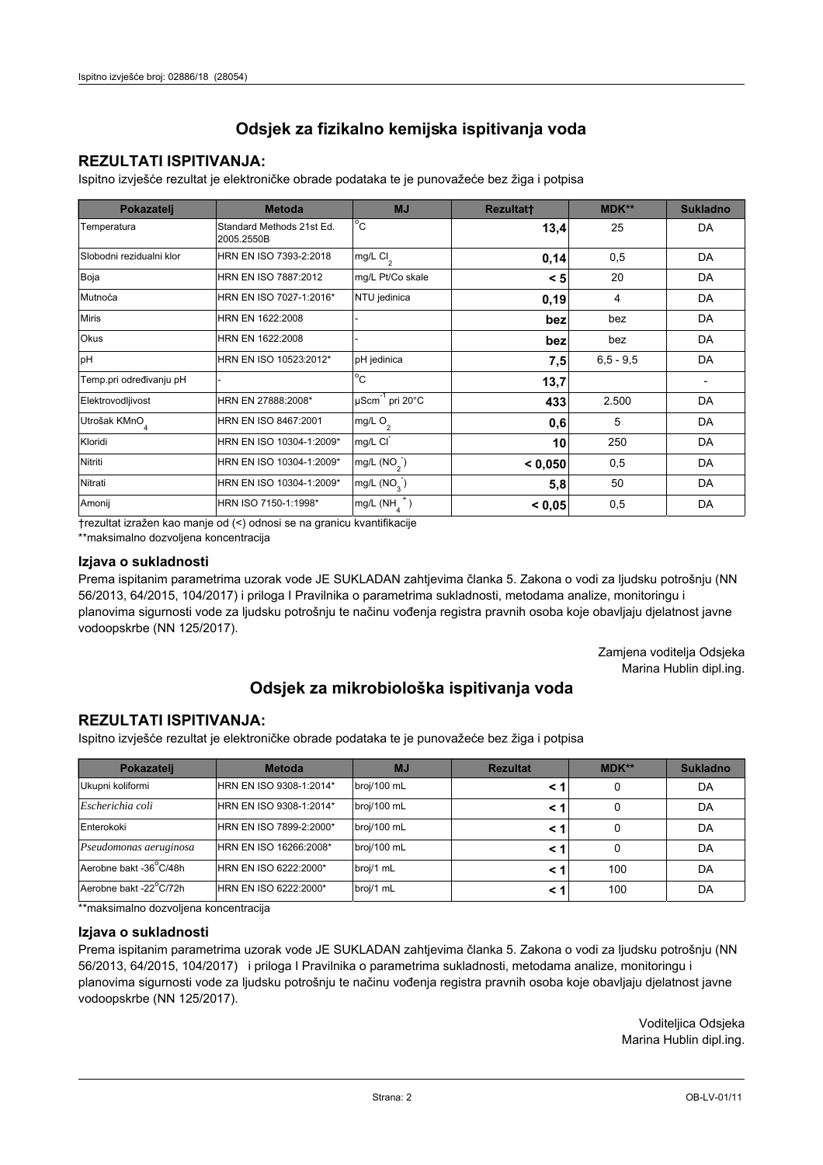## **REZULTATI ISPITIVANJA:**

Ispitno izviešće rezultat je elektroničke obrade podataka te je punovažeće bez žiga i potpisa

| Pokazatelj                | <b>Metoda</b>                           | <b>MJ</b>               | <b>Rezultatt</b> | <b>MDK**</b>  | <b>Sukladno</b> |
|---------------------------|-----------------------------------------|-------------------------|------------------|---------------|-----------------|
| Temperatura               | Standard Methods 21st Ed.<br>2005.2550B | $^{\circ}$ C            | 13,4             | 25            | DA              |
| Slobodni rezidualni klor  | HRN EN ISO 7393-2:2018                  | mg/L $Cl2$              | 0,14             | 0,5           | DA              |
| Boja                      | HRN EN ISO 7887:2012                    | mg/L Pt/Co skale        | < 5              | 20            | DA              |
| Mutnoća                   | HRN EN ISO 7027-1:2016*                 | NTU jedinica            | 0,19             | 4             | DA              |
| <b>Miris</b>              | HRN EN 1622:2008                        |                         | bez              | bez           | DA              |
| <b>Okus</b>               | HRN EN 1622:2008                        |                         | bez              | bez           | DA              |
| pH                        | HRN EN ISO 10523:2012*                  | pH jedinica             | 7,5              | $6, 5 - 9, 5$ | DA              |
| Temp.pri određivanju pH   |                                         | $^{\circ}$ C            | 13,7             |               |                 |
| Elektrovodljivost         | HRN EN 27888:2008*                      | µScm-1 pri 20°C         | 433              | 2.500         | DA              |
| Utrošak KMnO <sub>4</sub> | HRN EN ISO 8467:2001                    | mg/L $O_2$              | 0,6              | 5             | DA              |
| Kloridi                   | HRN EN ISO 10304-1:2009*                | mg/L CI                 | 10               | 250           | DA              |
| Nitriti                   | HRN EN ISO 10304-1:2009*                | mg/L $(NO2)$            | < 0,050          | 0,5           | DA              |
| Nitrati                   | HRN EN ISO 10304-1:2009*                | mg/L (NO <sub>3</sub> ) | 5,8              | 50            | DA              |
| Amonij                    | HRN ISO 7150-1:1998*                    | mg/L (NH                | < 0,05           | 0,5           | DA              |

trezultat izražen kao manje od (<) odnosi se na granicu kvantifikacije

\*\*maksimalno dozvoljena koncentracija

## Izjava o sukladnosti

Prema ispitanim parametrima uzorak vode JE SUKLADAN zahtievima članka 5. Zakona o vodi za ljudsku potrošnju (NN 56/2013, 64/2015, 104/2017) i priloga I Pravilnika o parametrima sukladnosti, metodama analize, monitoringu i planovima sigurnosti vode za ljudsku potrošnju te načinu vođenja registra pravnih osoba koje obavljaju djelatnost javne vodoopskrbe (NN 125/2017).

> Zamjena voditelja Odsjeka Marina Hublin dipl.ing.

## Odsjek za mikrobiološka ispitivanja voda

## **REZULTATI ISPITIVANJA:**

Ispitno izvješće rezultat je elektroničke obrade podataka te je punovažeće bez žiga i potpisa

| Pokazatelj             | <b>Metoda</b>           | <b>MJ</b>   | <b>Rezultat</b> | $MDK**$ | <b>Sukladno</b> |
|------------------------|-------------------------|-------------|-----------------|---------|-----------------|
| Ukupni koliformi       | HRN EN ISO 9308-1:2014* | broj/100 mL |                 | 0       | DA              |
| Escherichia coli       | HRN EN ISO 9308-1:2014* | broj/100 mL |                 | 0       | DA              |
| Enterokoki             | HRN EN ISO 7899-2:2000* | broj/100 mL |                 | 0       | DA              |
| Pseudomonas aeruginosa | HRN EN ISO 16266:2008*  | broj/100 mL | < 1             | 0       | DA              |
| Aerobne bakt -36 C/48h | HRN EN ISO 6222:2000*   | broj/1 mL   |                 | 100     | DA              |
| Aerobne bakt -22°C/72h | HRN EN ISO 6222:2000*   | broj/1 mL   |                 | 100     | DA              |

\*\* maksimalno dozvoljena koncentracija

### Izjava o sukladnosti

Prema ispitanim parametrima uzorak vode JE SUKLADAN zahtjevima članka 5. Zakona o vodi za ljudsku potrošnju (NN 56/2013, 64/2015, 104/2017) i priloga I Pravilnika o parametrima sukladnosti, metodama analize, monitoringu i planovima sigurnosti vode za ljudsku potrošnju te načinu vođenja registra pravnih osoba koje obavljaju djelatnost javne vodoopskrbe (NN 125/2017).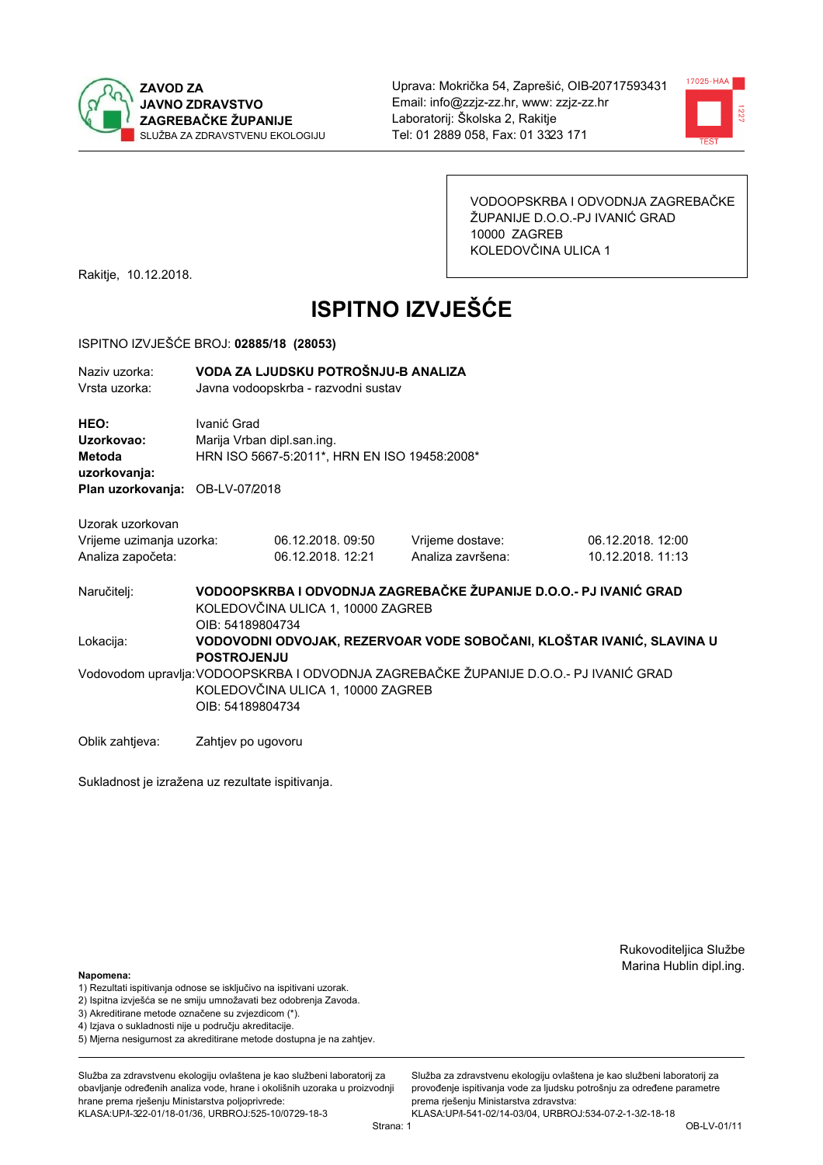



VODOOPSKRBA I ODVODNJA ZAGREBAČKE ŽUPANIJE D.O.O.-PJ IVANIĆ GRAD 10000 ZAGREB KOLEDOVČINA ULICA 1

Rakitje, 10.12.2018.

# **ISPITNO IZVJEŠĆE**

### ISPITNO IZVJEŠĆE BROJ: 02885/18 (28053)

| Naziv uzorka:<br>Vrsta uzorka:  |                    | VODA ZA LJUDSKU POTROŠNJU-B ANALIZA<br>Javna vodoopskrba - razvodni sustav |                                                                                       |                                                                     |  |  |  |
|---------------------------------|--------------------|----------------------------------------------------------------------------|---------------------------------------------------------------------------------------|---------------------------------------------------------------------|--|--|--|
| HEO:<br>Uzorkovao:              | Ivanić Grad        | Marija Vrban dipl.san.ing.                                                 |                                                                                       |                                                                     |  |  |  |
| Metoda<br>uzorkovanja:          |                    | HRN ISO 5667-5:2011*, HRN EN ISO 19458:2008*                               |                                                                                       |                                                                     |  |  |  |
| Plan uzorkovanja: OB-LV-07/2018 |                    |                                                                            |                                                                                       |                                                                     |  |  |  |
| Uzorak uzorkovan                |                    |                                                                            |                                                                                       |                                                                     |  |  |  |
| Vrijeme uzimanja uzorka:        |                    | 06.12.2018.09:50                                                           | Vrijeme dostave:                                                                      | 06.12.2018. 12:00                                                   |  |  |  |
| Analiza započeta:               |                    | 06.12.2018. 12:21                                                          | Analiza završena:                                                                     | 10.12.2018. 11:13                                                   |  |  |  |
| Naručitelj:                     | OIB: 54189804734   | KOLEDOVČINA ULICA 1, 10000 ZAGREB                                          | VODOOPSKRBA I ODVODNJA ZAGREBAČKE ŽUPANIJE D.O.O.- PJ IVANIĆ GRAD                     |                                                                     |  |  |  |
| Lokacija:                       | <b>POSTROJENJU</b> |                                                                            |                                                                                       | VODOVODNI ODVOJAK, REZERVOAR VODE SOBOČANI, KLOŠTAR IVANIĆ, SLAVINA |  |  |  |
|                                 | OIB: 54189804734   | KOLEDOVČINA ULICA 1, 10000 ZAGREB                                          | Vodovodom upravlja: VODOOPSKRBA I ODVODNJA ZAGREBAČKE ŽUPANIJE D.O.O.- PJ IVANIĆ GRAD |                                                                     |  |  |  |
| Oblik zahtjeva:                 | Zahtjev po ugovoru |                                                                            |                                                                                       |                                                                     |  |  |  |

Sukladnost je izražena uz rezultate ispitivanja.

Rukovoditeljica Službe Marina Hublin dipl.ing.

Ù

## Napomena:

- 1) Rezultati ispitivanja odnose se isključivo na ispitivani uzorak.
- 2) Ispitna izvješća se ne smiju umnožavati bez odobrenja Zavoda.
- 3) Akreditirane metode označene su zvjezdicom (\*).
- 4) Iziava o sukladnosti nije u području akreditacije.
- 5) Mjerna nesigurnost za akreditirane metode dostupna je na zahtjev.

Služba za zdravstvenu ekologiju ovlaštena je kao službeni laboratorij za obavlianie određenih analiza vode, hrane i okolišnih uzoraka u proizvodniji hrane prema rješenju Ministarstva poljoprivrede: KLASA: UP/l-322-01/18-01/36, URBROJ: 525-10/0729-18-3

KLASA: UP/l-541-02/14-03/04, URBROJ: 534-07-2-1-3/2-18-18 Strana: 1

prema rješenju Ministarstva zdravstva:

Služba za zdravstvenu ekologiju ovlaštena je kao službeni laboratorij za

provođenie ispitivania vode za liudsku potrošniu za određene parametre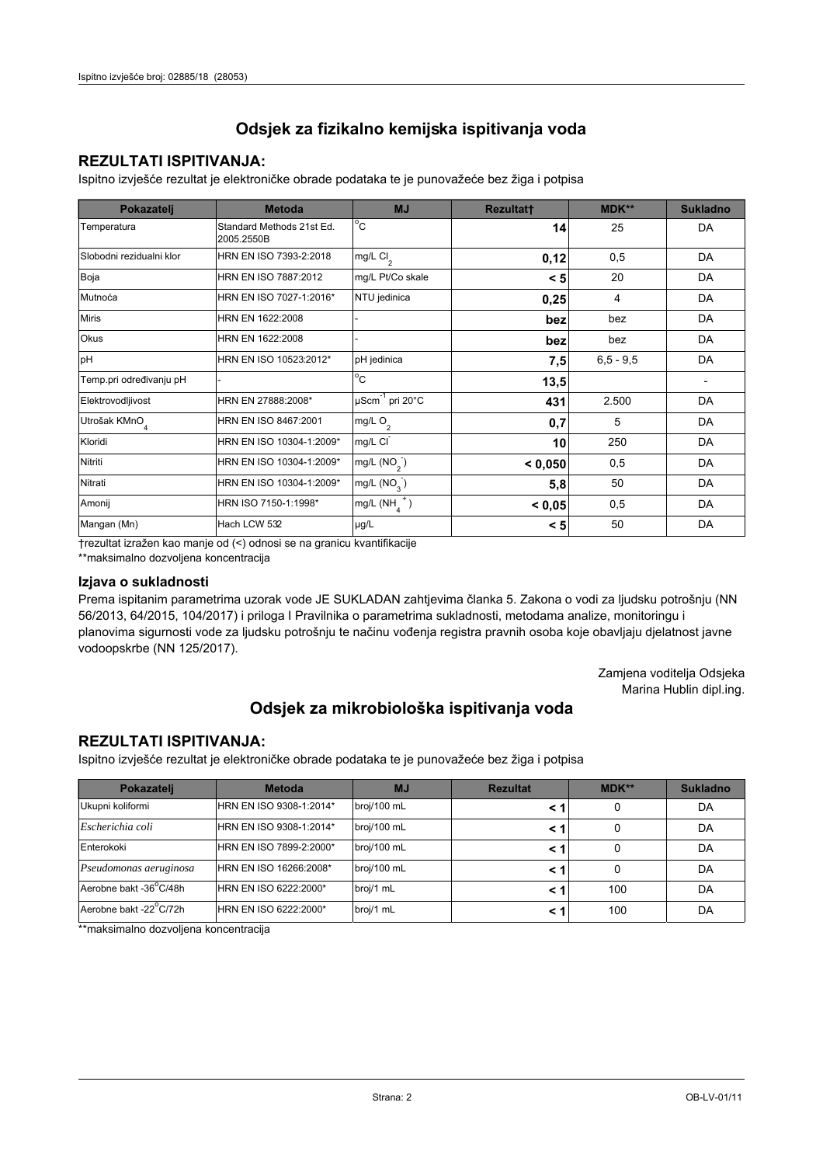## **REZULTATI ISPITIVANJA:**

Ispitno izviešće rezultat je elektroničke obrade podataka te je punovažeće bez žiga i potpisa

| Pokazatelj               | <b>Metoda</b>                           | <b>MJ</b>               | Rezultatt | MDK**         | <b>Sukladno</b> |
|--------------------------|-----------------------------------------|-------------------------|-----------|---------------|-----------------|
| Temperatura              | Standard Methods 21st Ed.<br>2005.2550B | $^{\circ}$ C            | 14        | 25            | DA              |
| Slobodni rezidualni klor | HRN EN ISO 7393-2:2018                  | mg/L Cl <sub>2</sub>    | 0,12      | 0,5           | DA              |
| Boja                     | HRN EN ISO 7887:2012                    | mg/L Pt/Co skale        | < 5       | 20            | DA              |
| Mutnoća                  | HRN EN ISO 7027-1:2016*                 | NTU jedinica            | 0,25      | 4             | DA              |
| <b>Miris</b>             | HRN EN 1622:2008                        |                         | bez       | bez           | DA              |
| Okus                     | HRN EN 1622:2008                        |                         | bez       | bez           | DA              |
| pH                       | HRN EN ISO 10523:2012*                  | pH jedinica             | 7,5       | $6, 5 - 9, 5$ | DA              |
| Temp.pri određivanju pH  |                                         | $^{\circ}$ C            | 13,5      |               |                 |
| Elektrovodljivost        | HRN EN 27888:2008*                      | µScm-1 pri 20°C         | 431       | 2.500         | DA              |
| Utrošak KMnO             | HRN EN ISO 8467:2001                    | mg/L O <sub>2</sub>     | 0,7       | 5             | DA              |
| Kloridi                  | HRN EN ISO 10304-1:2009*                | mg/L CI                 | 10        | 250           | <b>DA</b>       |
| Nitriti                  | HRN EN ISO 10304-1:2009*                | mg/L $(NO2)$            | < 0.050   | 0,5           | DA              |
| Nitrati                  | HRN EN ISO 10304-1:2009*                | mg/L (NO <sub>3</sub> ) | 5,8       | 50            | DA              |
| Amonij                   | HRN ISO 7150-1:1998*                    | mg/L $(NH_4^+)$         | < 0,05    | 0,5           | DA              |
| Mangan (Mn)              | Hach LCW 532                            | µg/L                    | < 5       | 50            | DA              |

trezultat izražen kao manje od (<) odnosi se na granicu kvantifikacije

\*\*maksimalno dozvoljena koncentracija

### Izjava o sukladnosti

Prema ispitanim parametrima uzorak vode JE SUKLADAN zahtjevima članka 5. Zakona o vodi za ljudsku potrošnju (NN 56/2013, 64/2015, 104/2017) i priloga I Pravilnika o parametrima sukladnosti, metodama analize, monitoringu i planovima sigurnosti vode za ljudsku potrošnju te načinu vođenja registra pravnih osoba koje obavljaju djelatnost javne vodoopskrbe (NN 125/2017).

> Zamjena voditelja Odsjeka Marina Hublin dipl.ing.

## Odsjek za mikrobiološka ispitivanja voda

## **REZULTATI ISPITIVANJA:**

Ispitno izvješće rezultat je elektroničke obrade podataka te je punovažeće bez žiga i potpisa

| Pokazatelj             | <b>Metoda</b>           | <b>MJ</b>   | <b>Rezultat</b> | <b>MDK**</b> | <b>Sukladno</b> |
|------------------------|-------------------------|-------------|-----------------|--------------|-----------------|
| Ukupni koliformi       | HRN EN ISO 9308-1:2014* | broj/100 mL |                 | 0            | DA              |
| Escherichia coli       | HRN EN ISO 9308-1:2014* | broj/100 mL |                 | 0            | DA              |
| Enterokoki             | HRN EN ISO 7899-2:2000* | broj/100 mL | < 1             | 0            | DA              |
| Pseudomonas aeruginosa | HRN EN ISO 16266:2008*  | broj/100 mL | < 1             | 0            | DA              |
| Aerobne bakt -36°C/48h | HRN EN ISO 6222:2000*   | broj/1 mL   | < '             | 100          | DA              |
| Aerobne bakt -22°C/72h | HRN EN ISO 6222:2000*   | broj/1 mL   | < 1             | 100          | DA              |

\*\*maksimalno dozvoljena koncentracija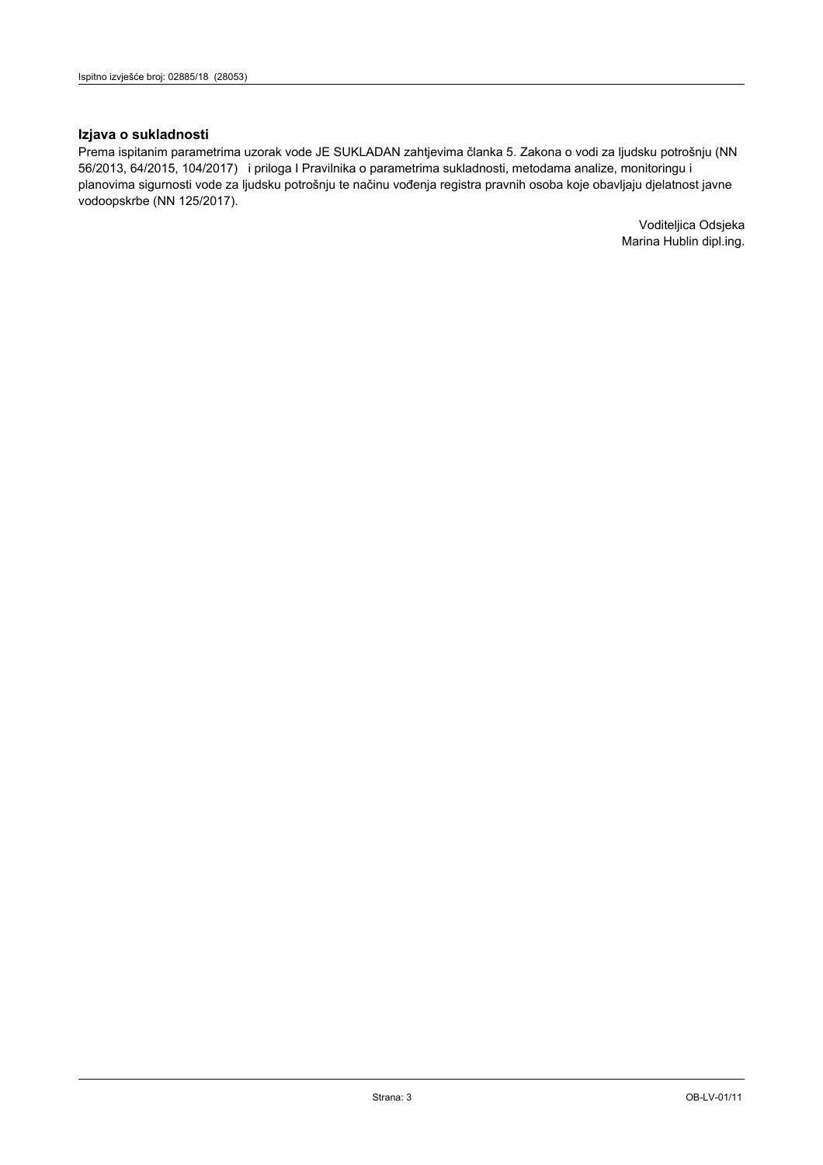## Izjava o sukladnosti

Prema ispitanim parametrima uzorak vode JE SUKLADAN zahtjevima članka 5. Zakona o vodi za ljudsku potrošnju (NN 56/2013, 64/2015, 104/2017) i priloga I Pravilnika o parametrima sukladnosti, metodama analize, monitoringu i planovima sigurnosti vode za ljudsku potrošnju te načinu vođenja registra pravnih osoba koje obavljaju djelatnost javne vodoopskrbe (NN 125/2017).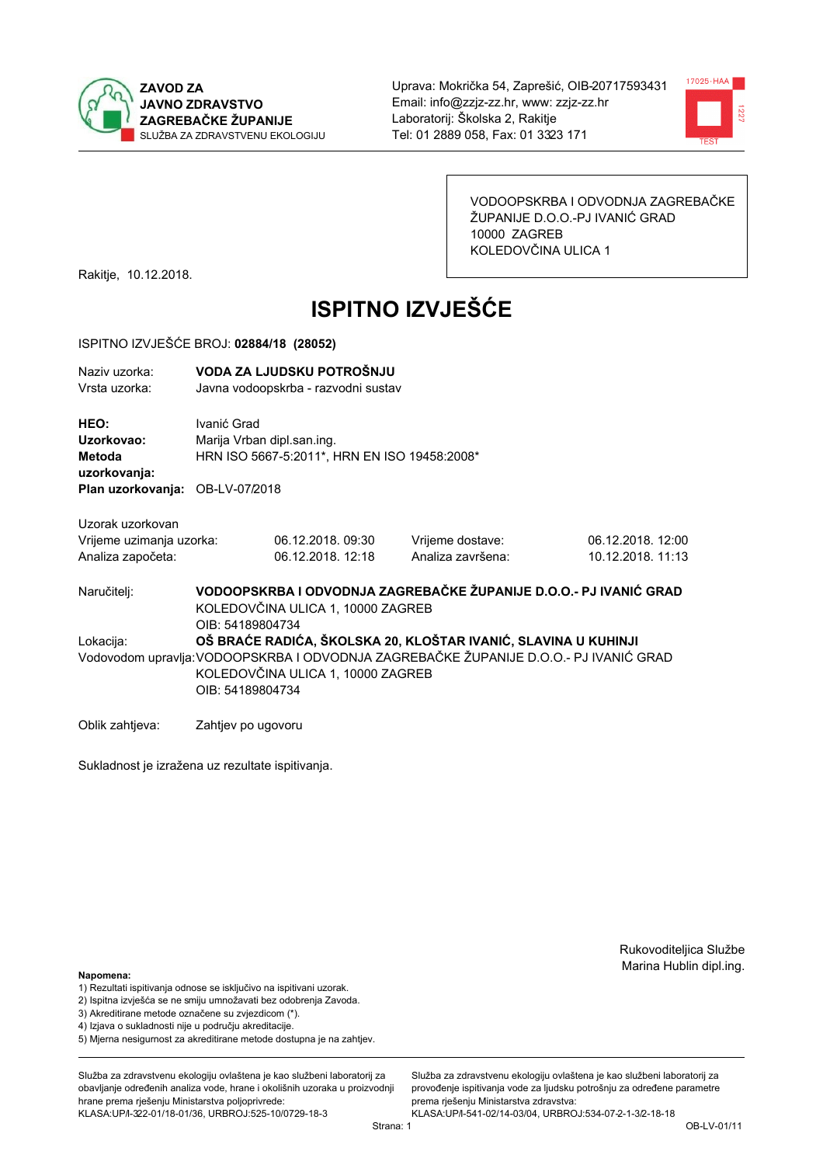



VODOOPSKRBA I ODVODNJA ZAGREBAČKE ŽUPANIJE D.O.O.-PJ IVANIĆ GRAD 10000 ZAGREB KOLEDOVČINA ULICA 1

Rakitje, 10.12.2018.

# **ISPITNO IZVJEŠĆE**

#### ISPITNO IZVJEŠĆE BROJ: 02884/18 (28052)

| Naziv uzorka:<br>Vrsta uzorka:  | VODA ZA LJUDSKU POTROŠNJU<br>Javna vodoopskrba - razvodni sustav |                            |                  |  |  |  |
|---------------------------------|------------------------------------------------------------------|----------------------------|------------------|--|--|--|
| HEO:                            | Ivanić Grad                                                      |                            |                  |  |  |  |
| Uzorkovao:                      |                                                                  | Marija Vrban dipl.san.ing. |                  |  |  |  |
| Metoda<br>uzorkovanja:          | HRN ISO 5667-5:2011*, HRN EN ISO 19458:2008*                     |                            |                  |  |  |  |
| Plan uzorkovanja: OB-LV-07/2018 |                                                                  |                            |                  |  |  |  |
| Uzorak uzorkovan                |                                                                  |                            |                  |  |  |  |
| Vrijeme uzimanja uzorka:        |                                                                  | 06.12.2018.09:30           | Vrijeme dostave: |  |  |  |
| Analiza započeta:               | 06.12.2018. 12:18<br>Analiza završena:                           |                            |                  |  |  |  |

06.12.2018. 12:00 10.12.2018. 11:13

VODOOPSKRBA I ODVODNJA ZAGREBAČKE ŽUPANIJE D.O.O.- PJ IVANIĆ GRAD Naručitelj: KOLEDOVČINA ULICA 1, 10000 ZAGREB OIB: 54189804734 OŠ BRAĆE RADIĆA. ŠKOLSKA 20. KLOŠTAR IVANIĆ. SLAVINA U KUHINJI Lokacija: Vodovodom upravlja: VODOOPSKRBA I ODVODNJA ZAGREBAČKE ŽUPANIJE D.O.O.- PJ IVANIĆ GRAD KOLEDOVČINA ULICA 1, 10000 ZAGREB OIB: 54189804734

Oblik zahtjeva: Zahtjev po ugovoru

Sukladnost je izražena uz rezultate ispitivanja.

Rukovoditeljica Službe Marina Hublin dipl.ing.

#### Napomena:

- 1) Rezultati ispitivanja odnose se isključivo na ispitivani uzorak.
- 2) Ispitna izvješća se ne smiju umnožavati bez odobrenja Zavoda.
- 3) Akreditirane metode označene su zvjezdicom (\*).
- 4) Iziava o sukladnosti nije u području akreditacije.
- 5) Mjerna nesigurnost za akreditirane metode dostupna je na zahtjev.

Služba za zdravstvenu ekologiju ovlaštena je kao službeni laboratorij za obavlianie određenih analiza vode, hrane i okolišnih uzoraka u proizvodniji hrane prema rješenju Ministarstva poljoprivrede: KLASA: UP/l-322-01/18-01/36, URBROJ: 525-10/0729-18-3

Služba za zdravstvenu ekologiju ovlaštena je kao službeni laboratorij za provođenie ispitivania vode za liudsku potrošniu za određene parametre prema riešenju Ministarstva zdravstva:

KLASA: UP/l-541-02/14-03/04, URBROJ: 534-07-2-1-3/2-18-18 Strana: 1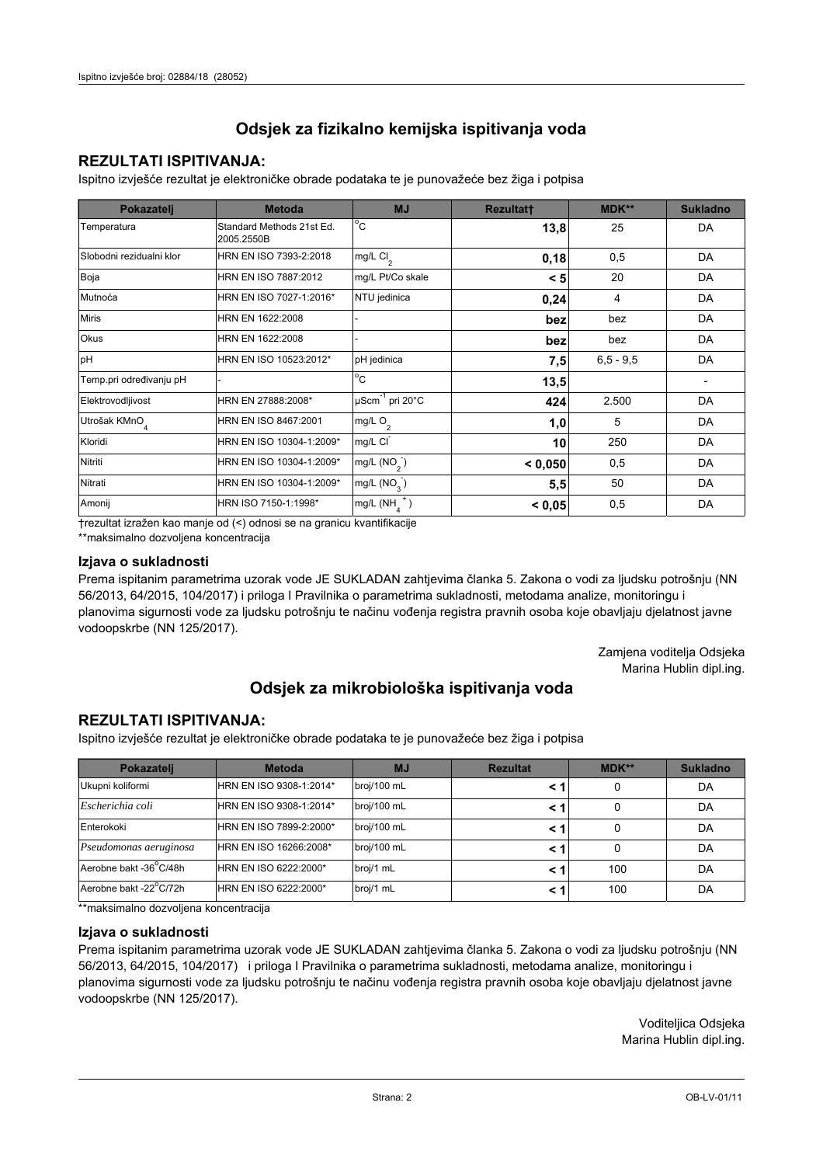## **REZULTATI ISPITIVANJA:**

Ispitno izviešće rezultat je elektroničke obrade podataka te je punovažeće bez žiga i potpisa

| Pokazatelj                | <b>Metoda</b>                           | <b>MJ</b>               | <b>Rezultatt</b> | <b>MDK**</b>  | <b>Sukladno</b> |
|---------------------------|-----------------------------------------|-------------------------|------------------|---------------|-----------------|
| Temperatura               | Standard Methods 21st Ed.<br>2005.2550B | $^{\circ}$ C            | 13,8             | 25            | DA              |
| Slobodni rezidualni klor  | HRN EN ISO 7393-2:2018                  | mg/L $Cl2$              | 0,18             | 0,5           | DA              |
| Boja                      | HRN EN ISO 7887:2012                    | mg/L Pt/Co skale        | < 5              | 20            | DA              |
| Mutnoća                   | HRN EN ISO 7027-1:2016*                 | NTU jedinica            | 0,24             | 4             | DA              |
| <b>Miris</b>              | HRN EN 1622:2008                        |                         | bez              | bez           | DA              |
| <b>Okus</b>               | HRN EN 1622:2008                        |                         | bez              | bez           | DA              |
| pH                        | HRN EN ISO 10523:2012*                  | pH jedinica             | 7,5              | $6, 5 - 9, 5$ | DA              |
| Temp.pri određivanju pH   |                                         | $^{\circ}$ C            | 13,5             |               |                 |
| Elektrovodljivost         | HRN EN 27888:2008*                      | µScm-1 pri 20°C         | 424              | 2.500         | DA              |
| Utrošak KMnO <sub>4</sub> | HRN EN ISO 8467:2001                    | mg/L $O_2$              | 1,0              | 5             | DA              |
| Kloridi                   | HRN EN ISO 10304-1:2009*                | mg/L CI                 | 10               | 250           | DA              |
| Nitriti                   | HRN EN ISO 10304-1:2009*                | mg/L $(NO2)$            | < 0,050          | 0,5           | DA              |
| Nitrati                   | HRN EN ISO 10304-1:2009*                | mg/L (NO <sub>3</sub> ) | 5,5              | 50            | DA              |
| Amonij                    | HRN ISO 7150-1:1998*                    | mg/L (NH                | < 0,05           | 0,5           | DA              |

trezultat izražen kao manje od (<) odnosi se na granicu kvantifikacije

\*\*maksimalno dozvoljena koncentracija

## Izjava o sukladnosti

Prema ispitanim parametrima uzorak vode JE SUKLADAN zahtievima članka 5. Zakona o vodi za ljudsku potrošnju (NN 56/2013, 64/2015, 104/2017) i priloga I Pravilnika o parametrima sukladnosti, metodama analize, monitoringu i planovima sigurnosti vode za ljudsku potrošnju te načinu vođenja registra pravnih osoba koje obavljaju djelatnost javne vodoopskrbe (NN 125/2017).

> Zamjena voditelja Odsjeka Marina Hublin dipl.ing.

## Odsjek za mikrobiološka ispitivanja voda

## **REZULTATI ISPITIVANJA:**

Ispitno izvješće rezultat je elektroničke obrade podataka te je punovažeće bez žiga i potpisa

| Pokazatelj             | <b>Metoda</b>           | <b>MJ</b>   | <b>Rezultat</b> | MDK** | <b>Sukladno</b> |
|------------------------|-------------------------|-------------|-----------------|-------|-----------------|
| Ukupni koliformi       | HRN EN ISO 9308-1:2014* | broj/100 mL |                 | 0     | DA              |
| Escherichia coli       | HRN EN ISO 9308-1:2014* | broj/100 mL |                 | 0     | DA              |
| Enterokoki             | HRN EN ISO 7899-2:2000* | broj/100 mL |                 | 0     | DA              |
| Pseudomonas aeruginosa | HRN EN ISO 16266:2008*  | broj/100 mL | < 1             | 0     | DA              |
| Aerobne bakt -36 C/48h | HRN EN ISO 6222:2000*   | broj/1 mL   |                 | 100   | DA              |
| Aerobne bakt -22°C/72h | HRN EN ISO 6222:2000*   | broj/1 mL   |                 | 100   | DA              |

\*\* maksimalno dozvoljena koncentracija

### Izjava o sukladnosti

Prema ispitanim parametrima uzorak vode JE SUKLADAN zahtjevima članka 5. Zakona o vodi za ljudsku potrošnju (NN 56/2013, 64/2015, 104/2017) i priloga I Pravilnika o parametrima sukladnosti, metodama analize, monitoringu i planovima sigurnosti vode za ljudsku potrošnju te načinu vođenja registra pravnih osoba koje obavljaju djelatnost javne vodoopskrbe (NN 125/2017).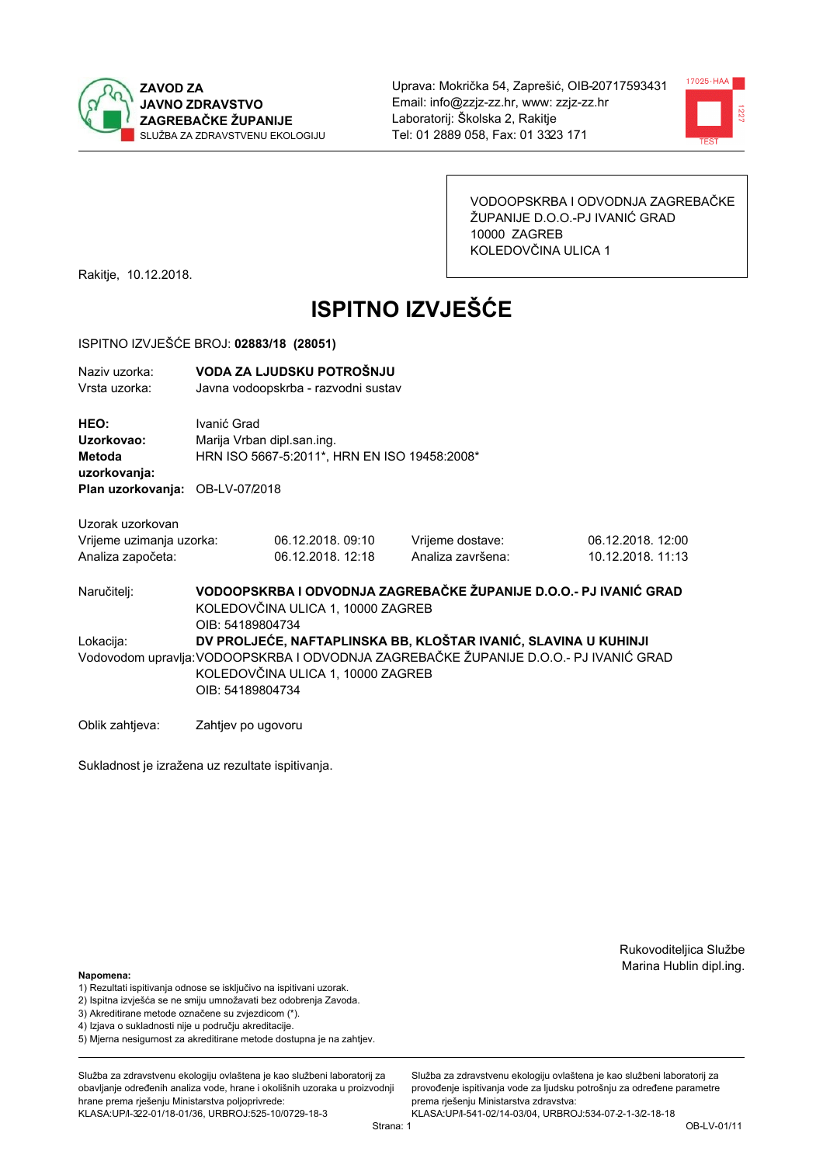



VODOOPSKRBA I ODVODNJA ZAGREBAČKE ŽUPANIJE D.O.O.-PJ IVANIĆ GRAD 10000 ZAGREB KOLEDOVČINA ULICA 1

Rakitje, 10.12.2018.

# **ISPITNO IZVJEŠĆE**

#### ISPITNO IZVJEŠĆE BROJ: 02883/18 (28051)

| Naziv uzorka:<br>Vrsta uzorka: | VODA ZA LJUDSKU POTROŠNJU<br>Javna vodoopskrba - razvodni sustav |  |
|--------------------------------|------------------------------------------------------------------|--|
| <b>HEO:</b><br>Uzorkovao:      | Ivanić Grad<br>Marija Vrban dipl.san.ing.                        |  |
| 88 - 4 - - 1 -                 | LIBN IOO FOOT F-0044* LIBN FN IOO 404F0-0000*                    |  |

Metoda HRN ISO 5667-5:2011\*, HRN EN ISO 19458:2008 uzorkovanja:

Plan uzorkovanja: OB-LV-07/2018

| Uzorak uzorkovan |  |
|------------------|--|
|                  |  |

| Vrijeme uzimanja uzorka: | 06.12.2018.09:10  | Vrijeme dostave:  | 06.12.2018. 12:00 |
|--------------------------|-------------------|-------------------|-------------------|
| Analiza započeta:        | 06.12.2018. 12:18 | Analiza završena: | 10.12.2018. 11:13 |

VODOOPSKRBA I ODVODNJA ZAGREBAČKE ŽUPANIJE D.O.O.- PJ IVANIĆ GRAD Naručitelj: KOLEDOVČINA ULICA 1, 10000 ZAGREB OIB: 54189804734 DV PROLJEĆE. NAFTAPLINSKA BB. KLOŠTAR IVANIĆ, SLAVINA U KUHINJI Lokacija: Vodovodom upravlja: VODOOPSKRBA I ODVODNJA ZAGREBAČKE ŽUPANIJE D.O.O.- PJ IVANIĆ GRAD KOLEDOVČINA ULICA 1, 10000 ZAGREB OIB: 54189804734

Oblik zahtjeva: Zahtjev po ugovoru

Sukladnost je izražena uz rezultate ispitivanja.

Rukovoditeljica Službe Marina Hublin dipl.ing.

#### Napomena:

- 1) Rezultati ispitivanja odnose se isključivo na ispitivani uzorak.
- 2) Ispitna izvješća se ne smiju umnožavati bez odobrenja Zavoda.
- 3) Akreditirane metode označene su zvjezdicom (\*).
- 4) Iziava o sukladnosti nije u području akreditacije.
- 5) Mjerna nesigurnost za akreditirane metode dostupna je na zahtjev.

Služba za zdravstvenu ekologiju ovlaštena je kao službeni laboratorij za obavlianie određenih analiza vode, hrane i okolišnih uzoraka u proizvodniji hrane prema rješenju Ministarstva poljoprivrede: KLASA: UP/l-322-01/18-01/36, URBROJ: 525-10/0729-18-3

Služba za zdravstvenu ekologiju ovlaštena je kao službeni laboratorij za provođenie ispitivania vode za liudsku potrošniu za određene parametre prema riešenju Ministarstva zdravstva:

KLASA: UP/l-541-02/14-03/04, URBROJ: 534-07-2-1-3/2-18-18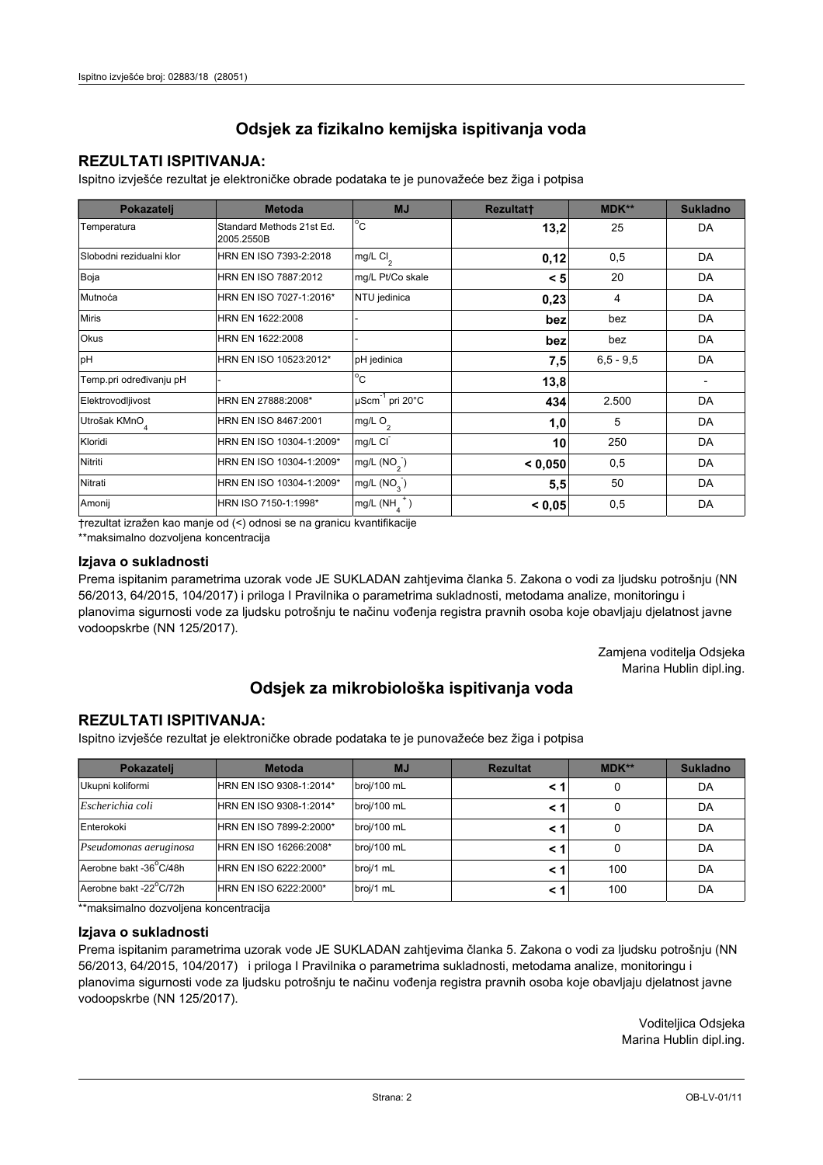## **REZULTATI ISPITIVANJA:**

Ispitno izviešće rezultat je elektroničke obrade podataka te je punovažeće bez žiga i potpisa

| Pokazatelj                | <b>Metoda</b>                           | <b>MJ</b>               | <b>Rezultatt</b> | <b>MDK**</b>  | <b>Sukladno</b> |
|---------------------------|-----------------------------------------|-------------------------|------------------|---------------|-----------------|
| Temperatura               | Standard Methods 21st Ed.<br>2005.2550B | $^{\circ}$ C            | 13,2             | 25            | DA              |
| Slobodni rezidualni klor  | HRN EN ISO 7393-2:2018                  | mg/L $Cl2$              | 0,12             | 0,5           | DA              |
| Boja                      | HRN EN ISO 7887:2012                    | mg/L Pt/Co skale        | < 5              | 20            | DA              |
| Mutnoća                   | HRN EN ISO 7027-1:2016*                 | NTU jedinica            | 0,23             | 4             | DA              |
| <b>Miris</b>              | HRN EN 1622:2008                        |                         | bez              | bez           | DA              |
| <b>Okus</b>               | HRN EN 1622:2008                        |                         | bez              | bez           | DA              |
| pH                        | HRN EN ISO 10523:2012*                  | pH jedinica             | 7,5              | $6, 5 - 9, 5$ | DA              |
| Temp.pri određivanju pH   |                                         | $^{\circ}$ C            | 13,8             |               |                 |
| Elektrovodljivost         | HRN EN 27888:2008*                      | µScm-1 pri 20°C         | 434              | 2.500         | DA              |
| Utrošak KMnO <sub>4</sub> | HRN EN ISO 8467:2001                    | mg/L $O_2$              | 1,0              | 5             | DA              |
| Kloridi                   | HRN EN ISO 10304-1:2009*                | mg/L CI                 | 10               | 250           | DA              |
| Nitriti                   | HRN EN ISO 10304-1:2009*                | mg/L $(NO2)$            | < 0,050          | 0,5           | DA              |
| Nitrati                   | HRN EN ISO 10304-1:2009*                | mg/L (NO <sub>3</sub> ) | 5,5              | 50            | DA              |
| Amonij                    | HRN ISO 7150-1:1998*                    | mg/L (NH                | < 0,05           | 0,5           | DA              |

trezultat izražen kao manje od (<) odnosi se na granicu kvantifikacije

\*\*maksimalno dozvoljena koncentracija

## Izjava o sukladnosti

Prema ispitanim parametrima uzorak vode JE SUKLADAN zahtievima članka 5. Zakona o vodi za ljudsku potrošnju (NN 56/2013, 64/2015, 104/2017) i priloga I Pravilnika o parametrima sukladnosti, metodama analize, monitoringu i planovima sigurnosti vode za ljudsku potrošnju te načinu vođenja registra pravnih osoba koje obavljaju djelatnost javne vodoopskrbe (NN 125/2017).

> Zamjena voditelja Odsjeka Marina Hublin dipl.ing.

## Odsjek za mikrobiološka ispitivanja voda

## **REZULTATI ISPITIVANJA:**

Ispitno izvješće rezultat je elektroničke obrade podataka te je punovažeće bez žiga i potpisa

| Pokazatelj             | <b>Metoda</b>           | <b>MJ</b>   | <b>Rezultat</b> | MDK** | <b>Sukladno</b> |
|------------------------|-------------------------|-------------|-----------------|-------|-----------------|
| Ukupni koliformi       | HRN EN ISO 9308-1:2014* | broj/100 mL |                 | 0     | DA              |
| Escherichia coli       | HRN EN ISO 9308-1:2014* | broj/100 mL |                 | 0     | DA              |
| Enterokoki             | HRN EN ISO 7899-2:2000* | broj/100 mL |                 | 0     | DA              |
| Pseudomonas aeruginosa | HRN EN ISO 16266:2008*  | broj/100 mL | < 1             | 0     | DA              |
| Aerobne bakt -36 C/48h | HRN EN ISO 6222:2000*   | broj/1 mL   |                 | 100   | DA              |
| Aerobne bakt -22°C/72h | HRN EN ISO 6222:2000*   | broj/1 mL   |                 | 100   | DA              |

\*\* maksimalno dozvoljena koncentracija

### Izjava o sukladnosti

Prema ispitanim parametrima uzorak vode JE SUKLADAN zahtjevima članka 5. Zakona o vodi za ljudsku potrošnju (NN 56/2013, 64/2015, 104/2017) i priloga I Pravilnika o parametrima sukladnosti, metodama analize, monitoringu i planovima sigurnosti vode za ljudsku potrošnju te načinu vođenja registra pravnih osoba koje obavljaju djelatnost javne vodoopskrbe (NN 125/2017).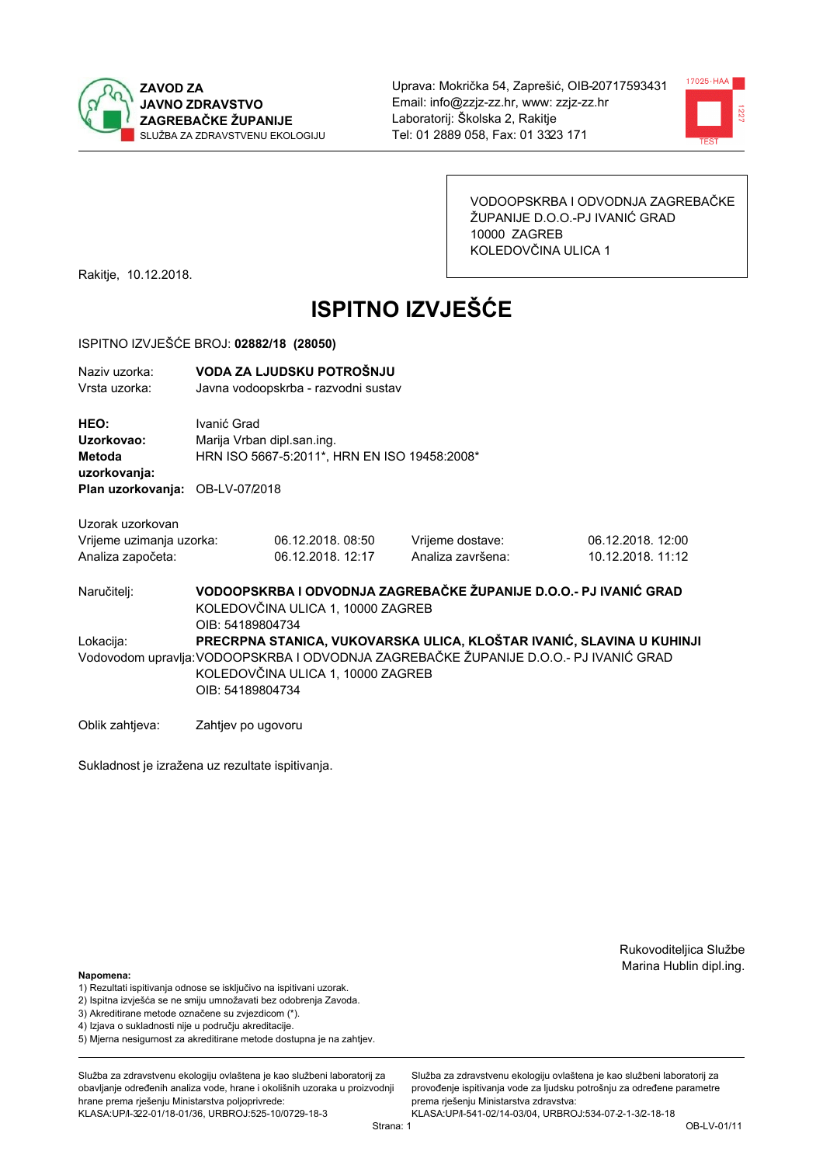



VODOOPSKRBA I ODVODNJA ZAGREBAČKE ŽUPANIJE D.O.O.-PJ IVANIĆ GRAD 10000 ZAGREB KOLEDOVČINA ULICA 1

Rakitje, 10.12.2018.

# **ISPITNO IZVJEŠĆE**

#### ISPITNO IZVJEŠĆE BROJ: 02882/18 (28050)

| Naziv uzorka:<br>Vrsta uzorka:  |             | VODA ZA LJUDSKU POTROŠNJU<br>Javna vodoopskrba - razvodni sustav |                                                                   |                   |  |
|---------------------------------|-------------|------------------------------------------------------------------|-------------------------------------------------------------------|-------------------|--|
| HEO:                            | Ivanić Grad |                                                                  |                                                                   |                   |  |
| Uzorkovao:                      |             | Marija Vrban dipl.san.ing.                                       |                                                                   |                   |  |
| Metoda                          |             | HRN ISO 5667-5:2011*, HRN EN ISO 19458:2008*                     |                                                                   |                   |  |
| uzorkovanja:                    |             |                                                                  |                                                                   |                   |  |
| Plan uzorkovanja: OB-LV-07/2018 |             |                                                                  |                                                                   |                   |  |
| Uzorak uzorkovan                |             |                                                                  |                                                                   |                   |  |
| Vrijeme uzimanja uzorka:        |             | 06.12.2018.08:50                                                 | Vrijeme dostave:                                                  | 06.12.2018. 12:00 |  |
| Analiza započeta:               |             | 06.12.2018. 12:17                                                | Analiza završena:                                                 | 10.12.2018. 11:12 |  |
| Naručitelj:                     |             |                                                                  | VODOOPSKRBA I ODVODNJA ZAGREBAČKE ŽUPANIJE D.O.O.- PJ IVANIĆ GRAD |                   |  |

KOLEDOVČINA ULICA 1, 10000 ZAGREB OIB: 54189804734 PRECRPNA STANICA, VUKOVARSKA ULICA, KLOŠTAR IVANIĆ, SLAVINA U KUHINJI Lokacija: Vodovodom upravlja: VODOOPSKRBA I ODVODNJA ZAGREBAČKE ŽUPANIJE D.O.O.- PJ IVANIĆ GRAD KOLEDOVČINA ULICA 1, 10000 ZAGREB OIB: 54189804734

Oblik zahtjeva: Zahtjev po ugovoru

Sukladnost je izražena uz rezultate ispitivanja.

Rukovoditeljica Službe Marina Hublin dipl.ing.

#### Napomena:

- 1) Rezultati ispitivanja odnose se isključivo na ispitivani uzorak.
- 2) Ispitna izvješća se ne smiju umnožavati bez odobrenja Zavoda.
- 3) Akreditirane metode označene su zvjezdicom (\*).
- 4) Iziava o sukladnosti nije u području akreditacije.
- 5) Mjerna nesigurnost za akreditirane metode dostupna je na zahtjev.

Služba za zdravstvenu ekologiju ovlaštena je kao službeni laboratorij za obavlianie određenih analiza vode, hrane i okolišnih uzoraka u proizvodniji hrane prema rješenju Ministarstva poljoprivrede: KLASA: UP/l-322-01/18-01/36, URBROJ: 525-10/0729-18-3

Služba za zdravstvenu ekologiju ovlaštena je kao službeni laboratorij za provođenie ispitivania vode za liudsku potrošniu za određene parametre prema riešenju Ministarstva zdravstva:

KLASA: UP/l-541-02/14-03/04, URBROJ: 534-07-2-1-3/2-18-18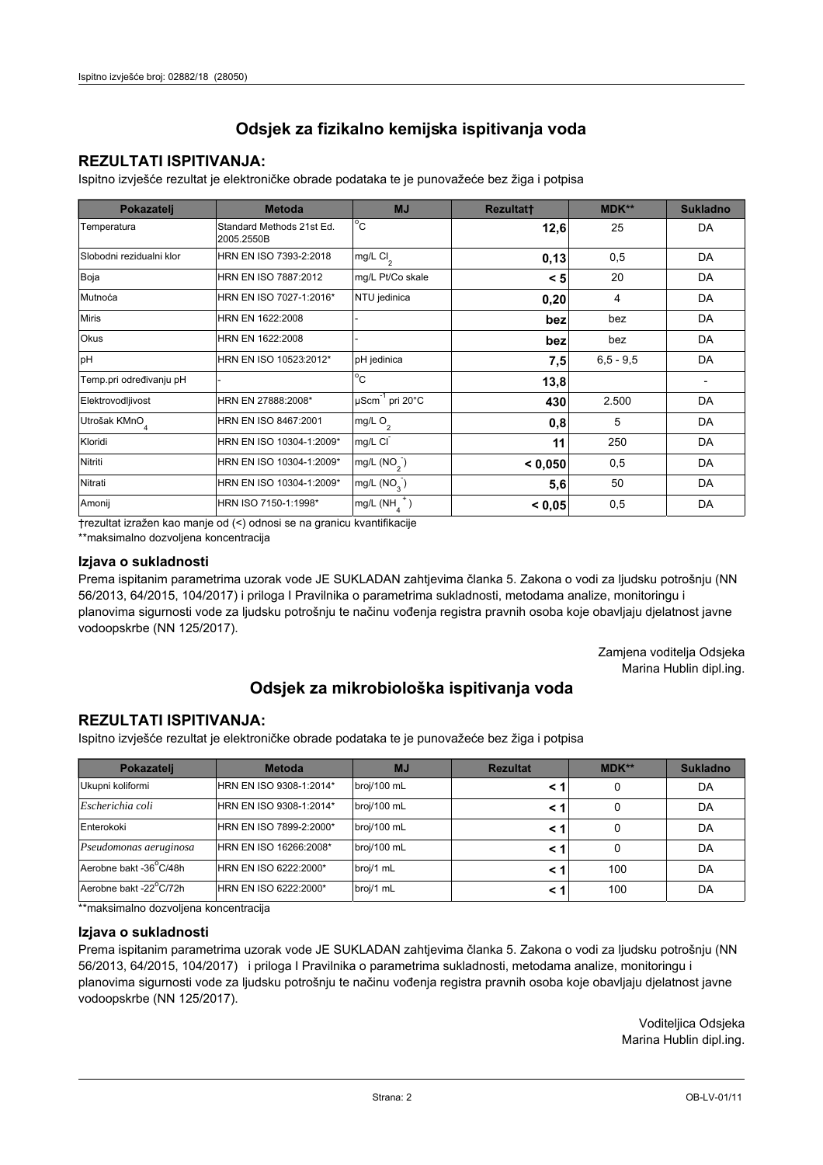## **REZULTATI ISPITIVANJA:**

Ispitno izviešće rezultat je elektroničke obrade podataka te je punovažeće bez žiga i potpisa

| Pokazatelj                | <b>Metoda</b>                           | <b>MJ</b>                   | <b>Rezultatt</b> | <b>MDK**</b>  | <b>Sukladno</b> |
|---------------------------|-----------------------------------------|-----------------------------|------------------|---------------|-----------------|
| Temperatura               | Standard Methods 21st Ed.<br>2005.2550B | $^{\circ}$ C                | 12,6             | 25            | DA              |
| Slobodni rezidualni klor  | HRN EN ISO 7393-2:2018                  | $mg/L$ Cl <sub>2</sub>      | 0,13             | 0,5           | DA              |
| Boja                      | HRN EN ISO 7887:2012                    | mg/L Pt/Co skale            | < 5              | 20            | DA              |
| Mutnoća                   | HRN EN ISO 7027-1:2016*                 | NTU jedinica                | 0,20             | 4             | DA              |
| <b>Miris</b>              | HRN EN 1622:2008                        |                             | bez              | bez           | DA              |
| <b>Okus</b>               | HRN EN 1622:2008                        |                             | bez              | bez           | DA              |
| pH                        | HRN EN ISO 10523:2012*                  | pH jedinica                 | 7,5              | $6, 5 - 9, 5$ | DA              |
| Temp.pri određivanju pH   |                                         | $^{\circ}$ C                | 13,8             |               |                 |
| Elektrovodljivost         | HRN EN 27888:2008*                      | µScm <sup>-1</sup> pri 20°C | 430              | 2.500         | DA              |
| Utrošak KMnO <sub>4</sub> | HRN EN ISO 8467:2001                    | mg/L $O_2$                  | 0,8              | 5             | DA              |
| Kloridi                   | HRN EN ISO 10304-1:2009*                | mg/L CI                     | 11               | 250           | DA              |
| Nitriti                   | HRN EN ISO 10304-1:2009*                | mg/L $(NO2)$                | < 0,050          | 0,5           | DA              |
| Nitrati                   | HRN EN ISO 10304-1:2009*                | mg/L (NO <sub>3</sub> )     | 5,6              | 50            | DA              |
| Amonij                    | HRN ISO 7150-1:1998*                    | mg/L (NH                    | < 0,05           | 0,5           | DA              |

trezultat izražen kao manje od (<) odnosi se na granicu kvantifikacije

\*\*maksimalno dozvoljena koncentracija

### Izjava o sukladnosti

Prema ispitanim parametrima uzorak vode JE SUKLADAN zahtievima članka 5. Zakona o vodi za ljudsku potrošnju (NN 56/2013, 64/2015, 104/2017) i priloga I Pravilnika o parametrima sukladnosti, metodama analize, monitoringu i planovima sigurnosti vode za ljudsku potrošnju te načinu vođenja registra pravnih osoba koje obavljaju djelatnost javne vodoopskrbe (NN 125/2017).

> Zamjena voditelja Odsjeka Marina Hublin dipl.ing.

## Odsjek za mikrobiološka ispitivanja voda

## **REZULTATI ISPITIVANJA:**

Ispitno izvješće rezultat je elektroničke obrade podataka te je punovažeće bez žiga i potpisa

| Pokazatelj             | <b>Metoda</b>           | <b>MJ</b>   | <b>Rezultat</b> | MDK** | <b>Sukladno</b> |
|------------------------|-------------------------|-------------|-----------------|-------|-----------------|
| Ukupni koliformi       | HRN EN ISO 9308-1:2014* | broj/100 mL |                 | 0     | DA              |
| Escherichia coli       | HRN EN ISO 9308-1:2014* | broj/100 mL |                 | 0     | DA              |
| Enterokoki             | HRN EN ISO 7899-2:2000* | broj/100 mL |                 | 0     | DA              |
| Pseudomonas aeruginosa | HRN EN ISO 16266:2008*  | broj/100 mL | < 1             | 0     | DA              |
| Aerobne bakt -36 C/48h | HRN EN ISO 6222:2000*   | broj/1 mL   |                 | 100   | DA              |
| Aerobne bakt -22°C/72h | HRN EN ISO 6222:2000*   | broj/1 mL   |                 | 100   | DA              |

\*\* maksimalno dozvoljena koncentracija

### Izjava o sukladnosti

Prema ispitanim parametrima uzorak vode JE SUKLADAN zahtjevima članka 5. Zakona o vodi za ljudsku potrošnju (NN 56/2013, 64/2015, 104/2017) i priloga I Pravilnika o parametrima sukladnosti, metodama analize, monitoringu i planovima sigurnosti vode za ljudsku potrošnju te načinu vođenja registra pravnih osoba koje obavljaju djelatnost javne vodoopskrbe (NN 125/2017).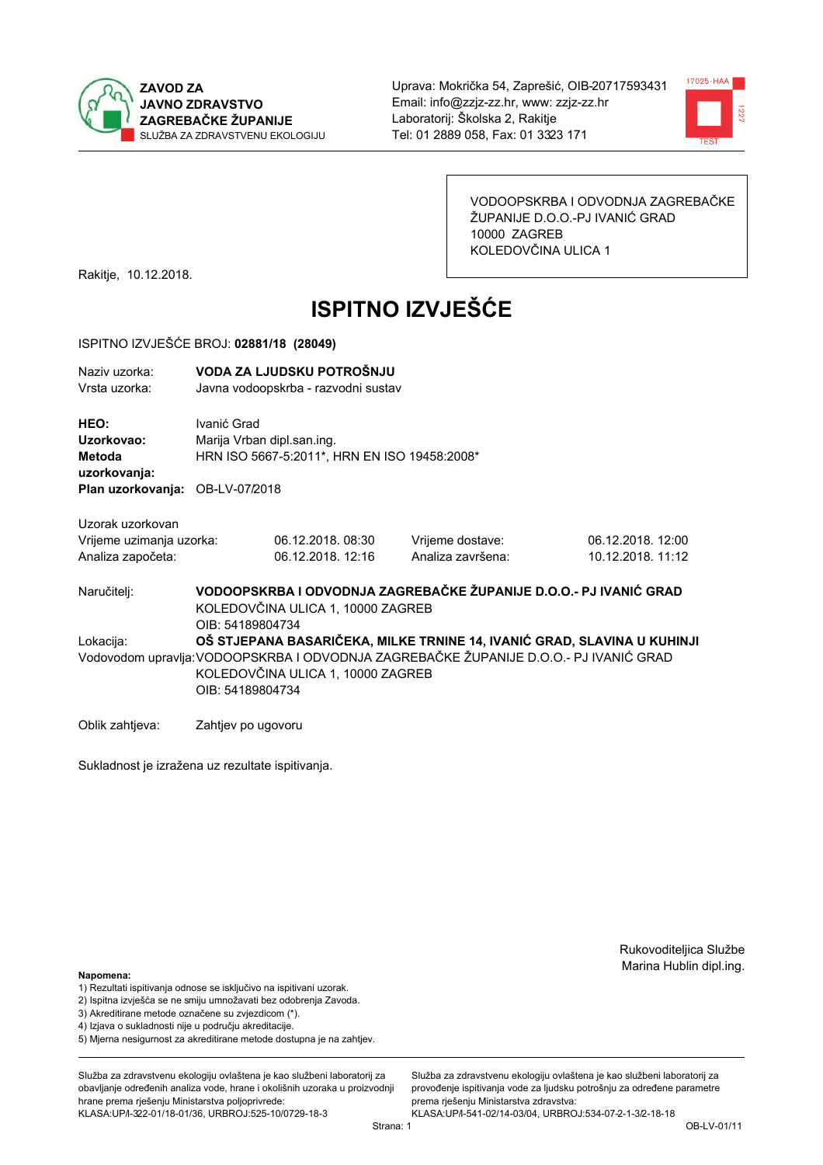



VODOOPSKRBA I ODVODNJA ZAGREBAČKE ŽUPANIJE D.O.O.-PJ IVANIĆ GRAD 10000 ZAGREB KOLEDOVČINA ULICA 1

Rakitje, 10.12.2018.

# **ISPITNO IZVJEŠĆE**

#### ISPITNO IZVJEŠĆE BROJ: 02881/18 (28049)

| Naziv uzorka:<br>Vrsta uzorka: |                                              | VODA ZA LJUDSKU POTROŠNJU<br>Javna vodoopskrba - razvodni sustav |                   |                   |  |  |
|--------------------------------|----------------------------------------------|------------------------------------------------------------------|-------------------|-------------------|--|--|
| HEO:                           | Ivanić Grad                                  |                                                                  |                   |                   |  |  |
| Uzorkovao:                     |                                              | Marija Vrban dipl.san.ing.                                       |                   |                   |  |  |
| Metoda<br>uzorkovanja:         | HRN ISO 5667-5:2011*, HRN EN ISO 19458:2008* |                                                                  |                   |                   |  |  |
|                                | Plan uzorkovanja: OB-LV-07/2018              |                                                                  |                   |                   |  |  |
| Uzorak uzorkovan               |                                              |                                                                  |                   |                   |  |  |
| Vrijeme uzimanja uzorka:       |                                              | 06.12.2018.08:30                                                 | Vrijeme dostave:  | 06.12.2018. 12:00 |  |  |
| Analiza započeta:              |                                              | 06.12.2018. 12:16                                                | Analiza završena: | 10.12.2018. 11:12 |  |  |

VODOOPSKRBA I ODVODNJA ZAGREBAČKE ŽUPANIJE D.O.O.- PJ IVANIĆ GRAD Naručitelj: KOLEDOVČINA ULICA 1, 10000 ZAGREB OIB: 54189804734 Lokacija: OŠ STJEPANA BASARIČEKA. MILKE TRNINE 14. IVANIĆ GRAD. SLAVINA U KUHINJI Vodovodom upravlja: VODOOPSKRBA I ODVODNJA ZAGREBAČKE ŽUPANIJE D.O.O.- PJ IVANIĆ GRAD KOLEDOVČINA ULICA 1, 10000 ZAGREB OIB: 54189804734

Oblik zahtjeva: Zahtjev po ugovoru

Sukladnost je izražena uz rezultate ispitivanja.

Rukovoditeljica Službe Marina Hublin dipl.ing.

#### Napomena:

- 1) Rezultati ispitivanja odnose se isključivo na ispitivani uzorak.
- 2) Ispitna izvješća se ne smiju umnožavati bez odobrenja Zavoda.
- 3) Akreditirane metode označene su zvjezdicom (\*).
- 4) Iziava o sukladnosti nije u području akreditacije.
- 5) Mjerna nesigurnost za akreditirane metode dostupna je na zahtjev.

Služba za zdravstvenu ekologiju ovlaštena je kao službeni laboratorij za obavlianie određenih analiza vode, hrane i okolišnih uzoraka u proizvodniji hrane prema rješenju Ministarstva poljoprivrede: KLASA: UP/l-322-01/18-01/36, URBROJ: 525-10/0729-18-3

Služba za zdravstvenu ekologiju ovlaštena je kao službeni laboratorij za provođenie ispitivania vode za liudsku potrošniu za određene parametre prema riešenju Ministarstva zdravstva: KLASA: UP/l-541-02/14-03/04, URBROJ: 534-07-2-1-3/2-18-18

Strana: 1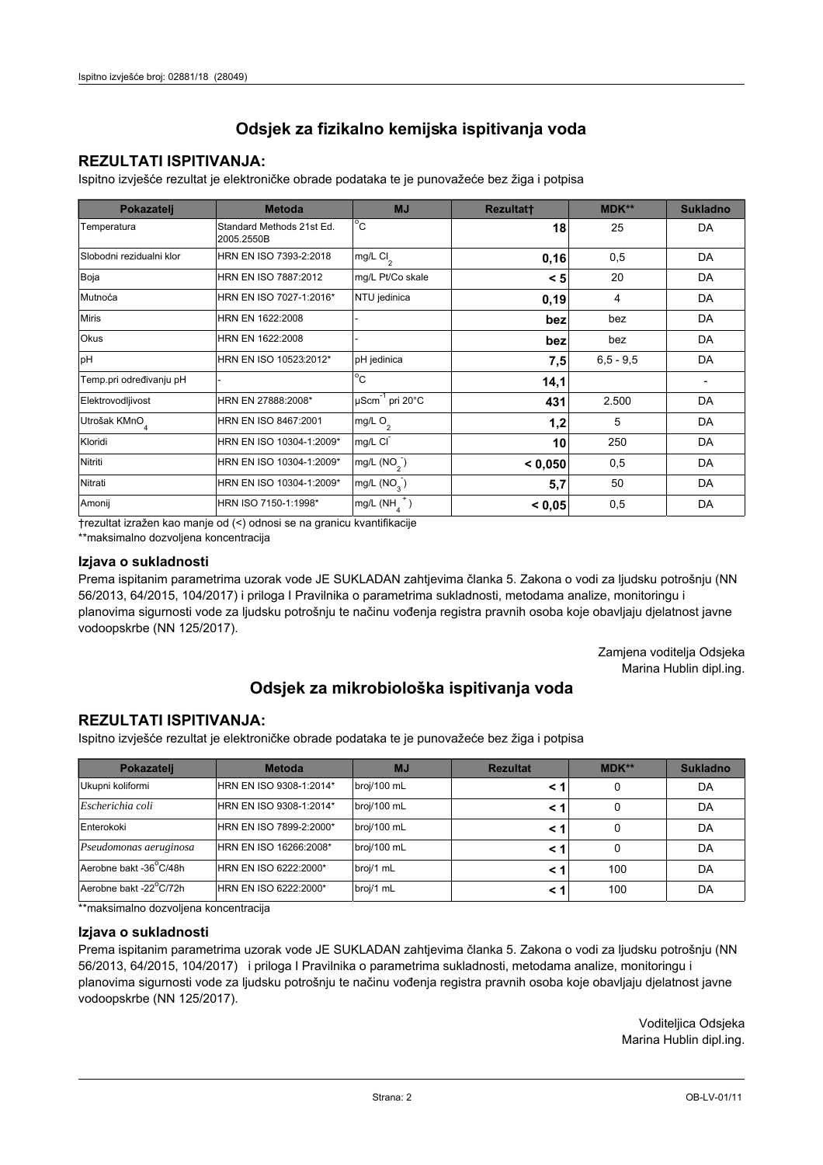## **REZULTATI ISPITIVANJA:**

Ispitno izviešće rezultat je elektroničke obrade podataka te je punovažeće bez žiga i potpisa

| Pokazatelj                | <b>Metoda</b>                           | <b>MJ</b>                   | <b>Rezultatt</b> | <b>MDK**</b>  | <b>Sukladno</b> |
|---------------------------|-----------------------------------------|-----------------------------|------------------|---------------|-----------------|
| Temperatura               | Standard Methods 21st Ed.<br>2005.2550B | $^{\circ}$ C                | 18               | 25            | DA              |
| Slobodni rezidualni klor  | HRN EN ISO 7393-2:2018                  | mg/L $Cl2$                  | 0, 16            | 0,5           | DA              |
| Boja                      | HRN EN ISO 7887:2012                    | mg/L Pt/Co skale            | < 5              | 20            | DA              |
| Mutnoća                   | HRN EN ISO 7027-1:2016*                 | NTU jedinica                | 0, 19            | 4             | DA              |
| <b>Miris</b>              | HRN EN 1622:2008                        |                             | bez              | bez           | DA              |
| Okus                      | HRN EN 1622:2008                        |                             | bez              | bez           | DA              |
| pH                        | HRN EN ISO 10523:2012*                  | pH jedinica                 | 7,5              | $6, 5 - 9, 5$ | DA              |
| Temp.pri određivanju pH   |                                         | $^{\circ}$ C                | 14,1             |               |                 |
| Elektrovodljivost         | HRN EN 27888:2008*                      | µScm <sup>-1</sup> pri 20°C | 431              | 2.500         | DA              |
| Utrošak KMnO <sub>4</sub> | HRN EN ISO 8467:2001                    | mg/L $O2$                   | 1,2              | 5             | DA              |
| Kloridi                   | HRN EN ISO 10304-1:2009*                | mg/L CI                     | 10               | 250           | DA              |
| Nitriti                   | HRN EN ISO 10304-1:2009*                | mg/L $(NO2)$                | < 0,050          | 0,5           | DA              |
| Nitrati                   | HRN EN ISO 10304-1:2009*                | mg/L $(NO_{\alpha})$        | 5,7              | 50            | DA              |
| Amonij                    | HRN ISO 7150-1:1998*                    | mg/L (NH                    | < 0,05           | 0,5           | DA              |

trezultat izražen kao manje od (<) odnosi se na granicu kvantifikacije

\*\*maksimalno dozvoljena koncentracija

## Izjava o sukladnosti

Prema ispitanim parametrima uzorak vode JE SUKLADAN zahtievima članka 5. Zakona o vodi za ljudsku potrošnju (NN 56/2013, 64/2015, 104/2017) i priloga I Pravilnika o parametrima sukladnosti, metodama analize, monitoringu i planovima sigurnosti vode za ljudsku potrošnju te načinu vođenja registra pravnih osoba koje obavljaju djelatnost javne vodoopskrbe (NN 125/2017).

> Zamjena voditelja Odsjeka Marina Hublin dipl.ing.

## Odsjek za mikrobiološka ispitivanja voda

## **REZULTATI ISPITIVANJA:**

Ispitno izvješće rezultat je elektroničke obrade podataka te je punovažeće bez žiga i potpisa

| Pokazatelj             | <b>Metoda</b>           | <b>MJ</b>   | <b>Rezultat</b> | <b>MDK**</b> | <b>Sukladno</b> |
|------------------------|-------------------------|-------------|-----------------|--------------|-----------------|
| Ukupni koliformi       | HRN EN ISO 9308-1:2014* | broj/100 mL |                 |              | DA              |
| Escherichia coli       | HRN EN ISO 9308-1:2014* | broj/100 mL | < 1             |              | DA              |
| Enterokoki             | HRN EN ISO 7899-2:2000* | broj/100 mL | < '             |              | DA              |
| Pseudomonas aeruginosa | HRN EN ISO 16266:2008*  | broj/100 mL | < 1             | 0            | DA              |
| Aerobne bakt -36 C/48h | HRN EN ISO 6222:2000*   | broj/1 mL   |                 | 100          | DA              |
| Aerobne bakt -22°C/72h | HRN EN ISO 6222:2000*   | broj/1 mL   | < 1             | 100          | DA              |

\*\* maksimalno dozvoljena koncentracija

### Izjava o sukladnosti

Prema ispitanim parametrima uzorak vode JE SUKLADAN zahtjevima članka 5. Zakona o vodi za ljudsku potrošnju (NN 56/2013, 64/2015, 104/2017) i priloga I Pravilnika o parametrima sukladnosti, metodama analize, monitoringu i planovima sigurnosti vode za ljudsku potrošnju te načinu vođenja registra pravnih osoba koje obavljaju djelatnost javne vodoopskrbe (NN 125/2017).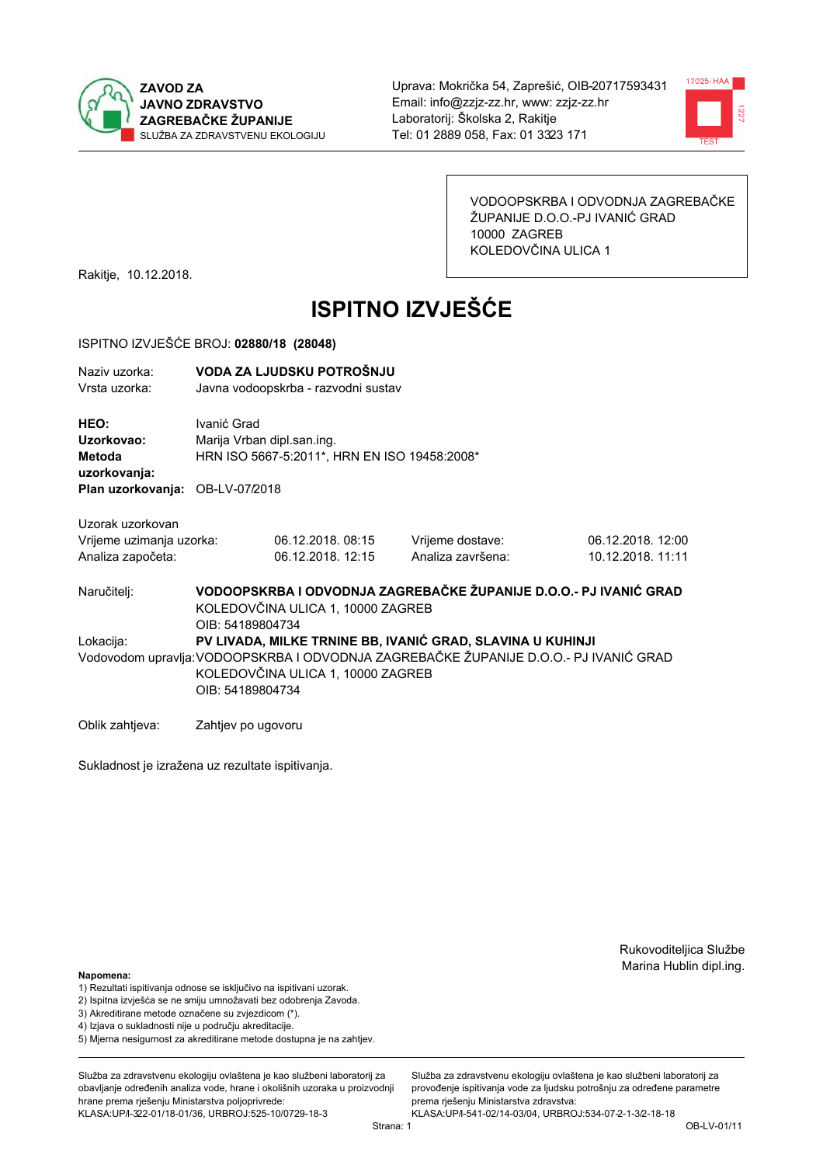



VODOOPSKRBA I ODVODNJA ZAGREBAČKE ŽUPANIJE D.O.O.-PJ IVANIĆ GRAD 10000 ZAGREB KOLEDOVČINA ULICA 1

Rakitje, 10.12.2018.

# **ISPITNO IZVJEŠĆE**

#### ISPITNO IZVJEŠĆE BROJ: 02880/18 (28048)

| Naziv uzorka:<br>Vrsta uzorka:                      |                                                                                                                            | VODA ZA LJUDSKU POTROŠNJU<br>Javna vodoopskrba - razvodni sustav |                                                            |                   |  |
|-----------------------------------------------------|----------------------------------------------------------------------------------------------------------------------------|------------------------------------------------------------------|------------------------------------------------------------|-------------------|--|
| <b>HEO:</b><br>Uzorkovao:<br>Metoda<br>uzorkovanja: | Ivanić Grad<br>Marija Vrban dipl.san.ing.                                                                                  | HRN ISO 5667-5:2011*, HRN EN ISO 19458:2008*                     |                                                            |                   |  |
| Plan uzorkovanja: OB-LV-07/2018                     |                                                                                                                            |                                                                  |                                                            |                   |  |
| Uzorak uzorkovan                                    |                                                                                                                            |                                                                  |                                                            |                   |  |
| Vrijeme uzimanja uzorka:                            |                                                                                                                            | 06.12.2018.08:15                                                 | Vrijeme dostave:                                           | 06.12.2018. 12:00 |  |
| Analiza započeta:                                   |                                                                                                                            | 06.12.2018. 12:15                                                | Analiza završena:                                          | 10.12.2018. 11:11 |  |
| Naručiteli:                                         | VODOOPSKRBA I ODVODNJA ZAGREBAČKE ŽUPANIJE D.O.O.- PJ IVANIĆ GRAD<br>KOLEDOVČINA ULICA 1, 10000 ZAGREB<br>OIB: 54189804734 |                                                                  |                                                            |                   |  |
| يمننهم يلميا                                        |                                                                                                                            |                                                                  | DVI IVADA MILIZE TOMINE DO IVANIÓ COAD QUAVINA ILIZILIM IL |                   |  |

Lokacija: PV LIVADA, MILKE TRNINE BB, IVANIĆ GRAD, SLAVINA U KUHINJI Vodovodom upravlja: VODOOPSKRBA I ODVODNJA ZAGREBAČKE ŽUPANIJE D.O.O.- PJ IVANIĆ GRAD KOLEDOVČINA ULICA 1, 10000 ZAGREB OIB: 54189804734

Oblik zahtjeva: Zahtjev po ugovoru

Sukladnost je izražena uz rezultate ispitivanja.

Rukovoditeljica Službe Marina Hublin dipl.ing.

#### Napomena:

- 1) Rezultati ispitivanja odnose se isključivo na ispitivani uzorak.
- 2) Ispitna izvješća se ne smiju umnožavati bez odobrenja Zavoda.
- 3) Akreditirane metode označene su zvjezdicom (\*).
- 4) Iziava o sukladnosti nije u području akreditacije.
- 5) Mjerna nesigurnost za akreditirane metode dostupna je na zahtjev.

Služba za zdravstvenu ekologiju ovlaštena je kao službeni laboratorij za obavlianie određenih analiza vode, hrane i okolišnih uzoraka u proizvodniji hrane prema rješenju Ministarstva poljoprivrede: KLASA: UP/l-322-01/18-01/36, URBROJ: 525-10/0729-18-3

Služba za zdravstvenu ekologiju ovlaštena je kao službeni laboratorij za provođenie ispitivania vode za liudsku potrošniu za određene parametre prema rješenju Ministarstva zdravstva:

KLASA: UP/l-541-02/14-03/04, URBROJ: 534-07-2-1-3/2-18-18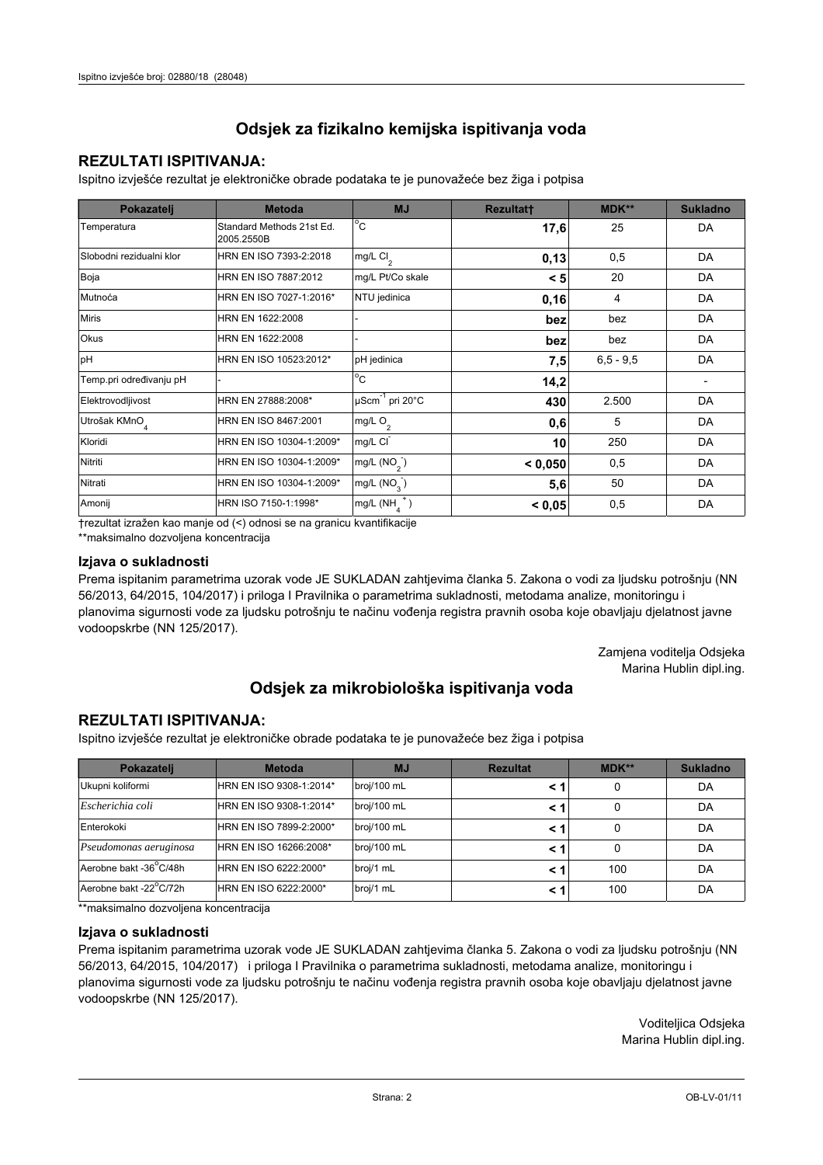## **REZULTATI ISPITIVANJA:**

Ispitno izviešće rezultat je elektroničke obrade podataka te je punovažeće bez žiga i potpisa

| Pokazatelj                | <b>Metoda</b>                           | <b>MJ</b>               | <b>Rezultatt</b> | <b>MDK**</b>  | <b>Sukladno</b> |
|---------------------------|-----------------------------------------|-------------------------|------------------|---------------|-----------------|
| Temperatura               | Standard Methods 21st Ed.<br>2005.2550B | $^{\circ}$ C            | 17,6             | 25            | DA              |
| Slobodni rezidualni klor  | HRN EN ISO 7393-2:2018                  | mg/L $Cl2$              | 0,13             | 0,5           | DA              |
| Boja                      | HRN EN ISO 7887:2012                    | mg/L Pt/Co skale        | < 5              | 20            | DA              |
| Mutnoća                   | HRN EN ISO 7027-1:2016*                 | NTU jedinica            | 0,16             | 4             | DA              |
| <b>Miris</b>              | HRN EN 1622:2008                        |                         | bez              | bez           | DA              |
| <b>Okus</b>               | HRN EN 1622:2008                        |                         | bez              | bez           | DA              |
| pH                        | HRN EN ISO 10523:2012*                  | pH jedinica             | 7,5              | $6, 5 - 9, 5$ | DA              |
| Temp.pri određivanju pH   |                                         | $^{\circ}$ C            | 14,2             |               |                 |
| Elektrovodljivost         | HRN EN 27888:2008*                      | µScm-1 pri 20°C         | 430              | 2.500         | DA              |
| Utrošak KMnO <sub>4</sub> | HRN EN ISO 8467:2001                    | mg/L $O_2$              | 0,6              | 5             | DA              |
| Kloridi                   | HRN EN ISO 10304-1:2009*                | mg/L CI                 | 10               | 250           | DA              |
| Nitriti                   | HRN EN ISO 10304-1:2009*                | mg/L $(NO2)$            | < 0,050          | 0,5           | DA              |
| Nitrati                   | HRN EN ISO 10304-1:2009*                | mg/L (NO <sub>3</sub> ) | 5,6              | 50            | DA              |
| Amonij                    | HRN ISO 7150-1:1998*                    | mg/L (NH                | < 0,05           | 0,5           | DA              |

trezultat izražen kao manje od (<) odnosi se na granicu kvantifikacije

\*\*maksimalno dozvoljena koncentracija

## Izjava o sukladnosti

Prema ispitanim parametrima uzorak vode JE SUKLADAN zahtievima članka 5. Zakona o vodi za ljudsku potrošnju (NN 56/2013, 64/2015, 104/2017) i priloga I Pravilnika o parametrima sukladnosti, metodama analize, monitoringu i planovima sigurnosti vode za ljudsku potrošnju te načinu vođenja registra pravnih osoba koje obavljaju djelatnost javne vodoopskrbe (NN 125/2017).

> Zamjena voditelja Odsjeka Marina Hublin dipl.ing.

## Odsjek za mikrobiološka ispitivanja voda

## **REZULTATI ISPITIVANJA:**

Ispitno izvješće rezultat je elektroničke obrade podataka te je punovažeće bez žiga i potpisa

| Pokazatelj             | <b>Metoda</b>           | <b>MJ</b>   | <b>Rezultat</b> | MDK** | <b>Sukladno</b> |
|------------------------|-------------------------|-------------|-----------------|-------|-----------------|
| Ukupni koliformi       | HRN EN ISO 9308-1:2014* | broj/100 mL |                 | 0     | DA              |
| Escherichia coli       | HRN EN ISO 9308-1:2014* | broj/100 mL |                 | 0     | DA              |
| Enterokoki             | HRN EN ISO 7899-2:2000* | broj/100 mL |                 | 0     | DA              |
| Pseudomonas aeruginosa | HRN EN ISO 16266:2008*  | broj/100 mL | < 1             | 0     | DA              |
| Aerobne bakt -36 C/48h | HRN EN ISO 6222:2000*   | broj/1 mL   |                 | 100   | DA              |
| Aerobne bakt -22°C/72h | HRN EN ISO 6222:2000*   | broj/1 mL   |                 | 100   | DA              |

\*\* maksimalno dozvoljena koncentracija

### Izjava o sukladnosti

Prema ispitanim parametrima uzorak vode JE SUKLADAN zahtjevima članka 5. Zakona o vodi za ljudsku potrošnju (NN 56/2013, 64/2015, 104/2017) i priloga I Pravilnika o parametrima sukladnosti, metodama analize, monitoringu i planovima sigurnosti vode za ljudsku potrošnju te načinu vođenja registra pravnih osoba koje obavljaju djelatnost javne vodoopskrbe (NN 125/2017).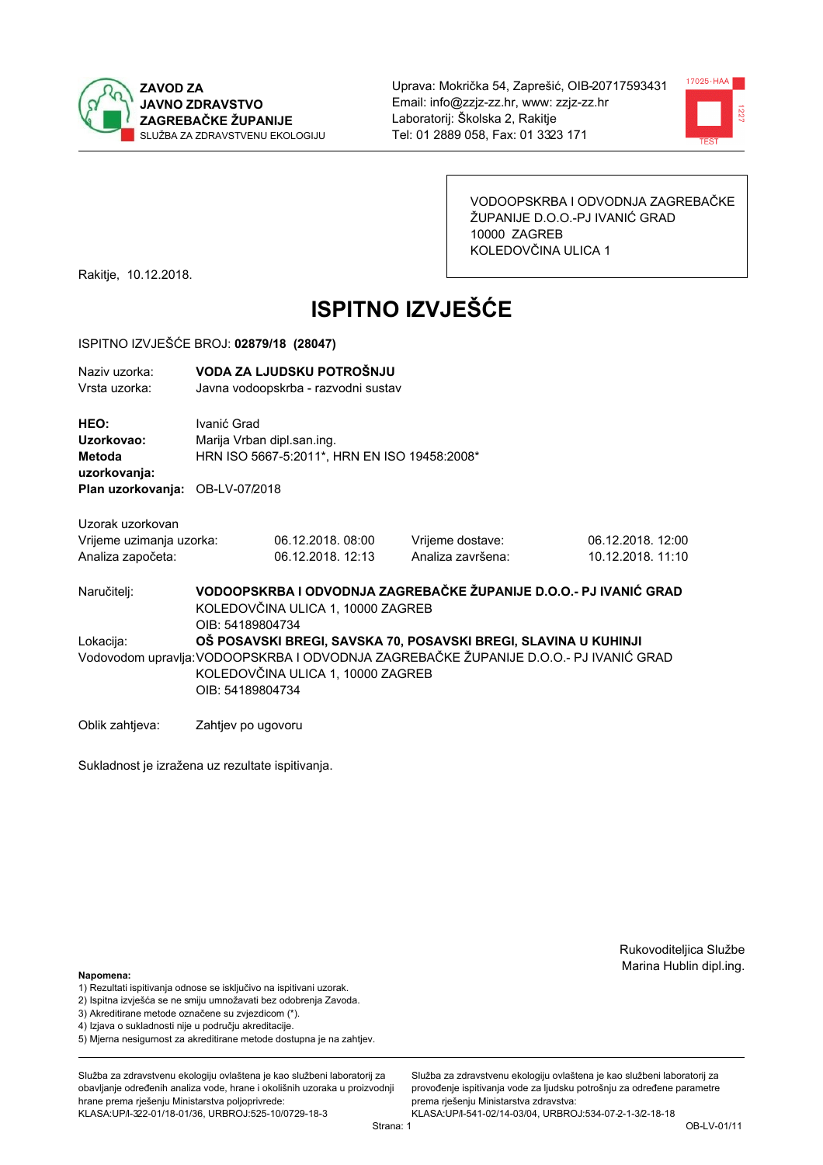



VODOOPSKRBA I ODVODNJA ZAGREBAČKE ŽUPANIJE D.O.O.-PJ IVANIĆ GRAD 10000 ZAGREB KOLEDOVČINA ULICA 1

Rakitje, 10.12.2018.

# **ISPITNO IZVJEŠĆE**

#### ISPITNO IZVJEŠĆE BROJ: 02879/18 (28047)

| Naziv uzorka: | VODA ZA LJUDSKU POTROŠNJU           |
|---------------|-------------------------------------|
| Vrsta uzorka: | Javna vodoopskrba - razvodni sustav |

HEO: Ivanić Grad Uzorkovao: Marija Vrban dipl.san.ing. HRN ISO 5667-5:2011\*, HRN EN ISO 19458:2008\* Metoda uzorkovanja: Plan uzorkovanja: OB-LV-07/2018

Uzorak uzorkovan Vrijeme uzimanja uzorka:

| Vrijeme uzimanja uzorka: | 06.12.2018.08:00  |  |
|--------------------------|-------------------|--|
| Analiza započeta:        | 06.12.2018. 12:13 |  |

Vrijeme dostave: Analiza završena: 06.12.2018. 12:00 10 12 2018 11:10

VODOOPSKRBA I ODVODNJA ZAGREBAČKE ŽUPANIJE D.O.O.- PJ IVANIĆ GRAD Naručitelj: KOLEDOVČINA ULICA 1, 10000 ZAGREB OIB: 54189804734 Lokacija: OŠ POSAVSKI BREGI, SAVSKA 70. POSAVSKI BREGI, SLAVINA U KUHINJI Vodovodom upravlja: VODOOPSKRBA I ODVODNJA ZAGREBAČKE ŽUPANIJE D.O.O.- PJ IVANIĆ GRAD KOLEDOVČINA ULICA 1, 10000 ZAGREB OIB: 54189804734

Oblik zahtjeva: Zahtjev po ugovoru

Sukladnost je izražena uz rezultate ispitivanja.

Rukovoditeljica Službe Marina Hublin dipl.ing.

#### Napomena:

- 1) Rezultati ispitivanja odnose se isključivo na ispitivani uzorak.
- 2) Ispitna izvješća se ne smiju umnožavati bez odobrenja Zavoda.
- 3) Akreditirane metode označene su zvjezdicom (\*).
- 4) Iziava o sukladnosti nije u područiu akreditacije.
- 5) Mjerna nesigurnost za akreditirane metode dostupna je na zahtjev.

Služba za zdravstvenu ekologiju ovlaštena je kao službeni laboratorij za obavlianie određenih analiza vode, hrane i okolišnih uzoraka u proizvodniji hrane prema rješenju Ministarstva poljoprivrede: KLASA: UP/l-322-01/18-01/36, URBROJ: 525-10/0729-18-3

Strana: 1

Služba za zdravstvenu ekologiju ovlaštena je kao službeni laboratorij za provođenie ispitivania vode za liudsku potrošniu za određene parametre prema riešenju Ministarstva zdravstva: